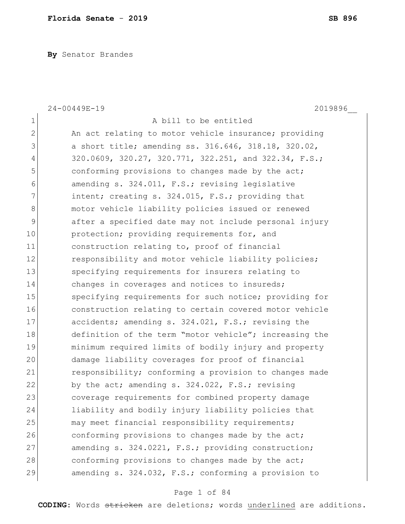**By** Senator Brandes

|              | 24-00449E-19<br>2019896                                |
|--------------|--------------------------------------------------------|
| $\mathbf 1$  | A bill to be entitled                                  |
| $\mathbf{2}$ | An act relating to motor vehicle insurance; providing  |
| 3            | a short title; amending ss. 316.646, 318.18, 320.02,   |
| 4            | 320.0609, 320.27, 320.771, 322.251, and 322.34, F.S.;  |
| 5            | conforming provisions to changes made by the act;      |
| 6            | amending s. 324.011, F.S.; revising legislative        |
| 7            | intent; creating s. 324.015, F.S.; providing that      |
| 8            | motor vehicle liability policies issued or renewed     |
| 9            | after a specified date may not include personal injury |
| 10           | protection; providing requirements for, and            |
| 11           | construction relating to, proof of financial           |
| 12           | responsibility and motor vehicle liability policies;   |
| 13           | specifying requirements for insurers relating to       |
| 14           | changes in coverages and notices to insureds;          |
| 15           | specifying requirements for such notice; providing for |
| 16           | construction relating to certain covered motor vehicle |
| 17           | accidents; amending s. 324.021, F.S.; revising the     |
| 18           | definition of the term "motor vehicle"; increasing the |
| 19           | minimum required limits of bodily injury and property  |
| 20           | damage liability coverages for proof of financial      |
| 21           | responsibility; conforming a provision to changes made |
| 22           | by the act; amending s. 324.022, F.S.; revising        |
| 23           | coverage requirements for combined property damage     |
| 24           | liability and bodily injury liability policies that    |
| 25           | may meet financial responsibility requirements;        |
| 26           | conforming provisions to changes made by the act;      |
| 27           | amending s. 324.0221, F.S.; providing construction;    |
| 28           | conforming provisions to changes made by the act;      |
| 29           | amending s. 324.032, F.S.; conforming a provision to   |

# Page 1 of 84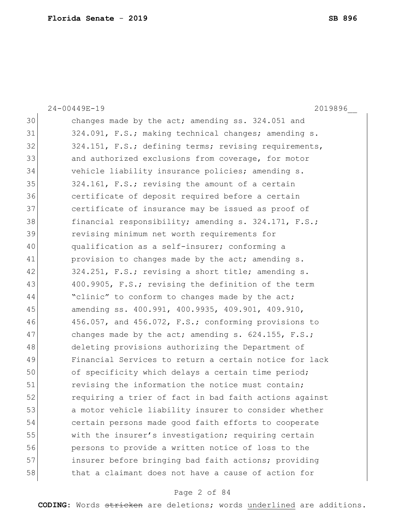24-00449E-19 2019896\_\_ 30 changes made by the act; amending ss. 324.051 and 31 324.091, F.S.; making technical changes; amending s. 32 324.151, F.S.; defining terms; revising requirements, 33 and authorized exclusions from coverage, for motor 34 vehicle liability insurance policies; amending s. 35 324.161, F.S.; revising the amount of a certain 36 certificate of deposit required before a certain 37 certificate of insurance may be issued as proof of 38 financial responsibility; amending s. 324.171, F.S.; 39 revising minimum net worth requirements for 40 qualification as a self-insurer; conforming a 41 provision to changes made by the act; amending s. 42 324.251, F.S.; revising a short title; amending s. 43 400.9905, F.S.; revising the definition of the term  $44$  "clinic" to conform to changes made by the act; 45 amending ss. 400.991, 400.9935, 409.901, 409.910, 46 456.057, and 456.072, F.S.; conforming provisions to 47 changes made by the act; amending s. 624.155, F.S.; 48 deleting provisions authorizing the Department of 49 Financial Services to return a certain notice for lack 50 of specificity which delays a certain time period; 51 revising the information the notice must contain; 52 **12** requiring a trier of fact in bad faith actions against 53 a motor vehicle liability insurer to consider whether 54 certain persons made good faith efforts to cooperate 55 with the insurer's investigation; requiring certain 56 persons to provide a written notice of loss to the 57 insurer before bringing bad faith actions; providing 58 that a claimant does not have a cause of action for

## Page 2 of 84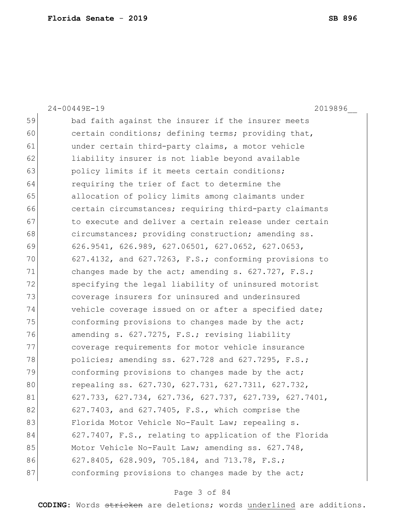|    | $24 - 00449E - 19$<br>2019896                          |
|----|--------------------------------------------------------|
| 59 | bad faith against the insurer if the insurer meets     |
| 60 | certain conditions; defining terms; providing that,    |
| 61 | under certain third-party claims, a motor vehicle      |
| 62 | liability insurer is not liable beyond available       |
| 63 | policy limits if it meets certain conditions;          |
| 64 | requiring the trier of fact to determine the           |
| 65 | allocation of policy limits among claimants under      |
| 66 | certain circumstances; requiring third-party claimants |
| 67 | to execute and deliver a certain release under certain |
| 68 | circumstances; providing construction; amending ss.    |
| 69 | 626.9541, 626.989, 627.06501, 627.0652, 627.0653,      |
| 70 | 627.4132, and 627.7263, F.S.; conforming provisions to |
| 71 | changes made by the act; amending s. 627.727, F.S.;    |
| 72 | specifying the legal liability of uninsured motorist   |
| 73 | coverage insurers for uninsured and underinsured       |
| 74 | vehicle coverage issued on or after a specified date;  |
| 75 | conforming provisions to changes made by the act;      |
| 76 | amending s. 627.7275, F.S.; revising liability         |
| 77 | coverage requirements for motor vehicle insurance      |
| 78 | policies; amending ss. 627.728 and 627.7295, F.S.;     |
| 79 | conforming provisions to changes made by the act;      |
| 80 | repealing ss. 627.730, 627.731, 627.7311, 627.732,     |
| 81 | 627.733, 627.734, 627.736, 627.737, 627.739, 627.7401, |
| 82 | 627.7403, and 627.7405, F.S., which comprise the       |
| 83 | Florida Motor Vehicle No-Fault Law; repealing s.       |
| 84 | 627.7407, F.S., relating to application of the Florida |
| 85 | Motor Vehicle No-Fault Law; amending ss. 627.748,      |
| 86 | 627.8405, 628.909, 705.184, and 713.78, F.S.;          |
| 87 | conforming provisions to changes made by the act;      |
|    |                                                        |

# Page 3 of 84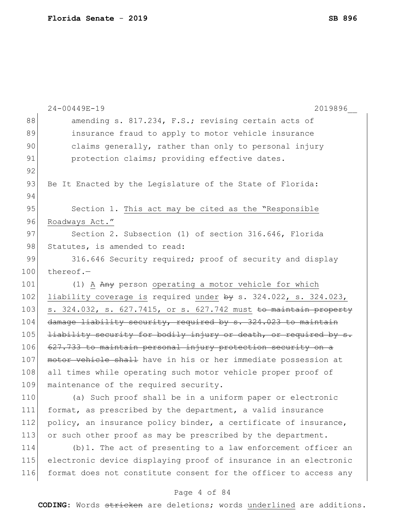|     | 2019896                                                                     |
|-----|-----------------------------------------------------------------------------|
| 88  | amending s. 817.234, F.S.; revising certain acts of                         |
| 89  | insurance fraud to apply to motor vehicle insurance                         |
| 90  | claims generally, rather than only to personal injury                       |
| 91  | protection claims; providing effective dates.                               |
| 92  |                                                                             |
| 93  | Be It Enacted by the Legislature of the State of Florida:                   |
| 94  |                                                                             |
| 95  | Section 1. This act may be cited as the "Responsible                        |
| 96  | Roadways Act."                                                              |
| 97  | Section 2. Subsection (1) of section 316.646, Florida                       |
| 98  | Statutes, is amended to read:                                               |
| 99  | 316.646 Security required; proof of security and display                    |
| 100 | thereof. $-$                                                                |
| 101 | (1) A Any person operating a motor vehicle for which                        |
| 102 | liability coverage is required under $by s. 324.022$ , s. 324.023,          |
| 103 | s. 324.032, s. 627.7415, or s. 627.742 must <del>to maintain property</del> |
| 104 | damage liability security, required by s. 324.023 to maintain               |
| 105 | <del>liability security for bodily injury or death, or required by s.</del> |
| 106 | 627.733 to maintain personal injury protection security on a                |
| 107 | motor vehicle shall have in his or her immediate possession at              |
| 108 | all times while operating such motor vehicle proper proof of                |
| 109 | maintenance of the required security.                                       |
| 110 | (a) Such proof shall be in a uniform paper or electronic                    |
| 111 | format, as prescribed by the department, a valid insurance                  |
| 112 | policy, an insurance policy binder, a certificate of insurance,             |
| 113 | or such other proof as may be prescribed by the department.                 |
| 114 | (b) 1. The act of presenting to a law enforcement officer an                |
| 115 | electronic device displaying proof of insurance in an electronic            |
| 116 | format does not constitute consent for the officer to access any            |

# Page 4 of 84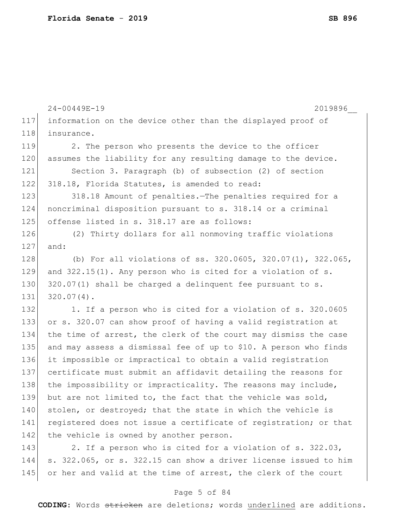|     | 2019896<br>24-00449E-19                                          |
|-----|------------------------------------------------------------------|
| 117 | information on the device other than the displayed proof of      |
| 118 | insurance.                                                       |
| 119 | 2. The person who presents the device to the officer             |
| 120 | assumes the liability for any resulting damage to the device.    |
| 121 | Section 3. Paragraph (b) of subsection (2) of section            |
| 122 | 318.18, Florida Statutes, is amended to read:                    |
| 123 | 318.18 Amount of penalties. The penalties required for a         |
| 124 | noncriminal disposition pursuant to s. 318.14 or a criminal      |
| 125 | offense listed in s. 318.17 are as follows:                      |
| 126 | (2) Thirty dollars for all nonmoving traffic violations          |
| 127 | and:                                                             |
| 128 | (b) For all violations of ss. 320.0605, 320.07(1), 322.065,      |
| 129 | and $322.15(1)$ . Any person who is cited for a violation of s.  |
| 130 | $320.07(1)$ shall be charged a delinquent fee pursuant to s.     |
| 131 | $320.07(4)$ .                                                    |
| 132 | 1. If a person who is cited for a violation of s. 320.0605       |
| 133 | or s. 320.07 can show proof of having a valid registration at    |
| 134 | the time of arrest, the clerk of the court may dismiss the case  |
| 135 | and may assess a dismissal fee of up to \$10. A person who finds |
| 136 | it impossible or impractical to obtain a valid registration      |
| 137 | certificate must submit an affidavit detailing the reasons for   |
| 138 | the impossibility or impracticality. The reasons may include,    |
| 139 | but are not limited to, the fact that the vehicle was sold,      |
| 140 | stolen, or destroyed; that the state in which the vehicle is     |
| 141 | registered does not issue a certificate of registration; or that |
| 142 | the vehicle is owned by another person.                          |
| 143 | 2. If a person who is cited for a violation of s. 322.03,        |
| 144 | s. 322.065, or s. 322.15 can show a driver license issued to him |
| 145 | or her and valid at the time of arrest, the clerk of the court   |
|     |                                                                  |

# Page 5 of 84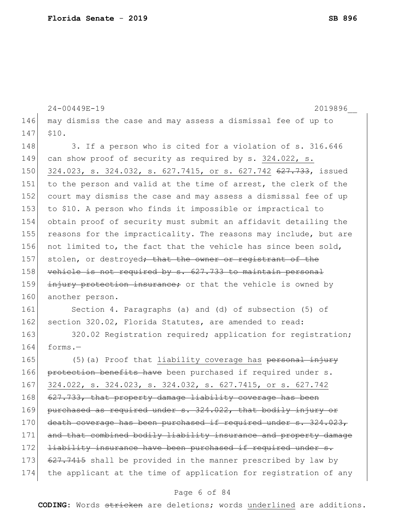```
24-00449E-19 2019896__
146 may dismiss the case and may assess a dismissal fee of up to 
147 $10.
148 3. If a person who is cited for a violation of s. 316.646
149 can show proof of security as required by s. 324.022, s.
150 324.023, s. 324.032, s. 627.7415, or s. 627.742 627.733, issued
151 to the person and valid at the time of arrest, the clerk of the
152 court may dismiss the case and may assess a dismissal fee of up 
153 to $10. A person who finds it impossible or impractical to 
154 obtain proof of security must submit an affidavit detailing the 
155 reasons for the impracticality. The reasons may include, but are
156 not limited to, the fact that the vehicle has since been sold,
157 stolen, or destroyed<del>; that the owner or registrant of the</del>
158 vehicle is not required by s. 627.733 to maintain personal
159 injury protection insurance; or that the vehicle is owned by
160 another person.
161 Section 4. Paragraphs (a) and (d) of subsection (5) of 
162 section 320.02, Florida Statutes, are amended to read:
163 320.02 Registration required; application for registration;
164 forms.—
165 (5)(a) Proof that liability coverage has personal injury
166 protection benefits have been purchased if required under s.
167 324.022, s. 324.023, s. 324.032, s. 627.7415, or s. 627.742
168 627.733, that property damage liability coverage has been
169 purchased as required under s. 324.022, that bodily injury or
170 death coverage has been purchased if required under s. 324.023,
171 and that combined bodily liability insurance and property damage
172 liability insurance have been purchased if required under s.
173 627.7415 shall be provided in the manner prescribed by law by
174 the applicant at the time of application for registration of any
```
## Page 6 of 84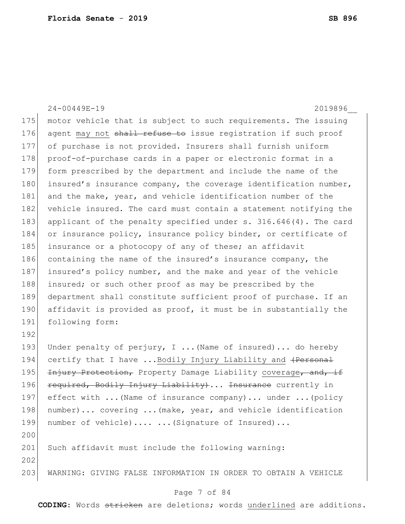24-00449E-19 2019896\_\_ 175 motor vehicle that is subject to such requirements. The issuing 176 agent may not shall refuse to issue registration if such proof 177 of purchase is not provided. Insurers shall furnish uniform 178 proof-of-purchase cards in a paper or electronic format in a 179 form prescribed by the department and include the name of the 180 insured's insurance company, the coverage identification number, 181 and the make, year, and vehicle identification number of the 182 vehicle insured. The card must contain a statement notifying the 183 applicant of the penalty specified under s. 316.646(4). The card 184 or insurance policy, insurance policy binder, or certificate of 185 insurance or a photocopy of any of these; an affidavit 186 containing the name of the insured's insurance company, the 187 insured's policy number, and the make and year of the vehicle 188 insured; or such other proof as may be prescribed by the 189 department shall constitute sufficient proof of purchase. If an 190 affidavit is provided as proof, it must be in substantially the 191 following form: 192 193 Under penalty of perjury, I ... (Name of insured)... do hereby 194 certify that I have ...Bodily Injury Liability and (Personal 195 Injury Protection, Property Damage Liability coverage, and, if 196 required, Bodily Injury Liability)... Insurance currently in 197 effect with ... (Name of insurance company)... under ... (policy 198 number)... covering ... (make, year, and vehicle identification 199 number of vehicle).... ... (Signature of Insured)... 200 201 Such affidavit must include the following warning: 202 203 WARNING: GIVING FALSE INFORMATION IN ORDER TO OBTAIN A VEHICLE

## Page 7 of 84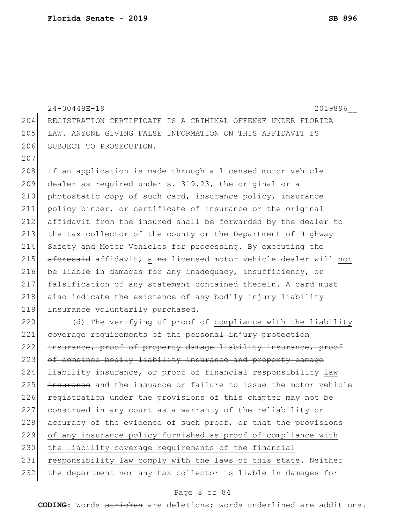```
24-00449E-19 2019896__
204 REGISTRATION CERTIFICATE IS A CRIMINAL OFFENSE UNDER FLORIDA 
205 LAW. ANYONE GIVING FALSE INFORMATION ON THIS AFFIDAVIT IS 
206 SUBJECT TO PROSECUTION.
207
208 If an application is made through a licensed motor vehicle
209 dealer as required under s. 319.23, the original or a 
210 photostatic copy of such card, insurance policy, insurance
211 policy binder, or certificate of insurance or the original 
212 affidavit from the insured shall be forwarded by the dealer to 
213 the tax collector of the county or the Department of Highway 
214 Safety and Motor Vehicles for processing. By executing the
215 aforesaid affidavit, a no licensed motor vehicle dealer will not
216 be liable in damages for any inadequacy, insufficiency, or
217 falsification of any statement contained therein. A card must 
218 also indicate the existence of any bodily injury liability
219 insurance voluntarily purchased.
220 (d) The verifying of proof of compliance with the liability
221 coverage requirements of the personal injury protection
222 insurance, proof of property damage liability insurance, proof
223 of combined bodily liability insurance and property damage
224 <del>liability insurance, or proof of</del> financial responsibility law
225 insurance and the issuance or failure to issue the motor vehicle
226 registration under the provisions of this chapter may not be
227 construed in any court as a warranty of the reliability or 
228 accuracy of the evidence of such proof, or that the provisions
229 of any insurance policy furnished as proof of compliance with 
230 the liability coverage requirements of the financial
231 responsibility law comply with the laws of this state. Neither
232 the department nor any tax collector is liable in damages for
```
## Page 8 of 84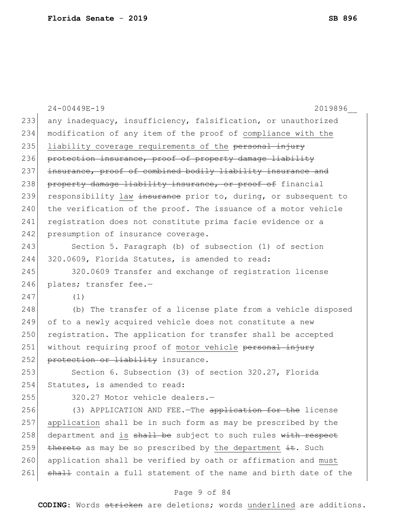|     | $24 - 00449E - 19$<br>2019896                                    |
|-----|------------------------------------------------------------------|
| 233 | any inadequacy, insufficiency, falsification, or unauthorized    |
| 234 | modification of any item of the proof of compliance with the     |
| 235 | liability coverage requirements of the personal injury           |
| 236 | protection insurance, proof of property damage liability         |
| 237 | insurance, proof of combined bodily liability insurance and      |
| 238 | property damage liability insurance, or proof of financial       |
| 239 | responsibility law insurance prior to, during, or subsequent to  |
| 240 | the verification of the proof. The issuance of a motor vehicle   |
| 241 | registration does not constitute prima facie evidence or a       |
| 242 | presumption of insurance coverage.                               |
| 243 | Section 5. Paragraph (b) of subsection (1) of section            |
| 244 | 320.0609, Florida Statutes, is amended to read:                  |
| 245 | 320.0609 Transfer and exchange of registration license           |
| 246 | plates; transfer fee.-                                           |
| 247 | (1)                                                              |
| 248 | (b) The transfer of a license plate from a vehicle disposed      |
| 249 | of to a newly acquired vehicle does not constitute a new         |
| 250 | registration. The application for transfer shall be accepted     |
| 251 | without requiring proof of motor vehicle personal injury         |
| 252 | protection or liability insurance.                               |
| 253 | Section 6. Subsection (3) of section 320.27, Florida             |
| 254 | Statutes, is amended to read:                                    |
| 255 | 320.27 Motor vehicle dealers.-                                   |
| 256 | (3) APPLICATION AND FEE. - The application for the license       |
| 257 | application shall be in such form as may be prescribed by the    |
| 258 | department and is shall be subject to such rules with respect    |
| 259 | thereto as may be so prescribed by the department it. Such       |
| 260 | application shall be verified by oath or affirmation and must    |
| 261 | shall contain a full statement of the name and birth date of the |

# Page 9 of 84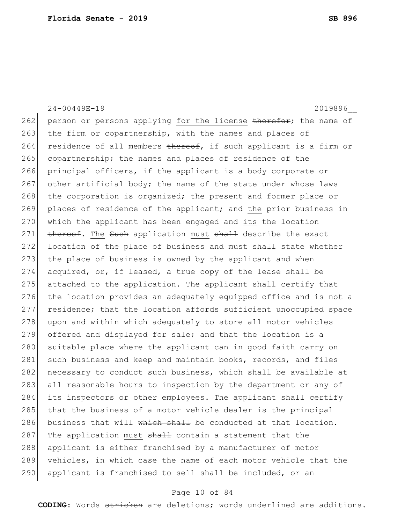24-00449E-19 2019896\_\_

262 person or persons applying for the license therefor; the name of 263 the firm or copartnership, with the names and places of 264 residence of all members thereof, if such applicant is a firm or 265 copartnership; the names and places of residence of the 266 principal officers, if the applicant is a body corporate or 267 other artificial body; the name of the state under whose laws 268 the corporation is organized; the present and former place or 269 places of residence of the applicant; and the prior business in 270 which the applicant has been engaged and its  $t$ he location 271 thereof. The Such application must shall describe the exact 272 location of the place of business and must shall state whether 273 the place of business is owned by the applicant and when 274 acquired, or, if leased, a true copy of the lease shall be 275 attached to the application. The applicant shall certify that 276 the location provides an adequately equipped office and is not a 277 residence; that the location affords sufficient unoccupied space 278 upon and within which adequately to store all motor vehicles 279 offered and displayed for sale; and that the location is a 280 suitable place where the applicant can in good faith carry on 281 such business and keep and maintain books, records, and files 282 necessary to conduct such business, which shall be available at 283 all reasonable hours to inspection by the department or any of 284 its inspectors or other employees. The applicant shall certify 285 that the business of a motor vehicle dealer is the principal 286 business that will which shall be conducted at that location. 287 The application must shall contain a statement that the 288 applicant is either franchised by a manufacturer of motor 289 vehicles, in which case the name of each motor vehicle that the 290 applicant is franchised to sell shall be included, or an

## Page 10 of 84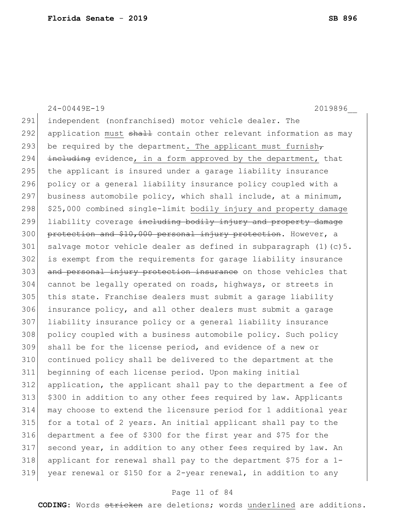24-00449E-19 2019896\_\_ independent (nonfranchised) motor vehicle dealer. The 292 application must shall contain other relevant information as may 293 be required by the department. The applicant must furnish-294 including evidence, in a form approved by the department, that 295 the applicant is insured under a garage liability insurance policy or a general liability insurance policy coupled with a 297 business automobile policy, which shall include, at a minimum, \$25,000 combined single-limit bodily injury and property damage 299 liability coverage including bodily injury and property damage 300 protection and \$10,000 personal injury protection. However, a 301 salvage motor vehicle dealer as defined in subparagraph  $(1)(c)$ 5. is exempt from the requirements for garage liability insurance 303 and personal injury protection insurance on those vehicles that cannot be legally operated on roads, highways, or streets in this state. Franchise dealers must submit a garage liability insurance policy, and all other dealers must submit a garage liability insurance policy or a general liability insurance policy coupled with a business automobile policy. Such policy shall be for the license period, and evidence of a new or continued policy shall be delivered to the department at the beginning of each license period. Upon making initial application, the applicant shall pay to the department a fee of \$300 in addition to any other fees required by law. Applicants may choose to extend the licensure period for 1 additional year for a total of 2 years. An initial applicant shall pay to the department a fee of \$300 for the first year and \$75 for the second year, in addition to any other fees required by law. An applicant for renewal shall pay to the department \$75 for a 1- 319 year renewal or \$150 for a 2-year renewal, in addition to any

## Page 11 of 84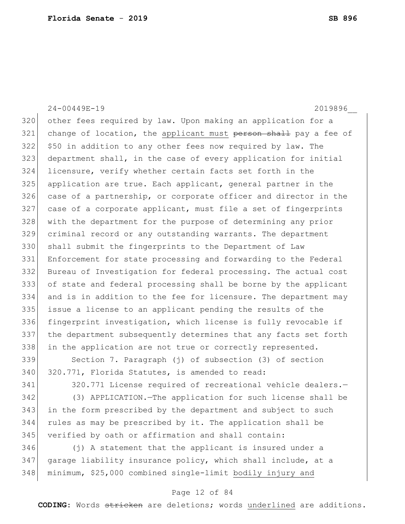24-00449E-19 2019896\_\_ other fees required by law. Upon making an application for a 321 change of location, the applicant must person shall pay a fee of \$50 in addition to any other fees now required by law. The department shall, in the case of every application for initial licensure, verify whether certain facts set forth in the application are true. Each applicant, general partner in the 326 case of a partnership, or corporate officer and director in the 327 case of a corporate applicant, must file a set of fingerprints with the department for the purpose of determining any prior criminal record or any outstanding warrants. The department shall submit the fingerprints to the Department of Law Enforcement for state processing and forwarding to the Federal Bureau of Investigation for federal processing. The actual cost of state and federal processing shall be borne by the applicant and is in addition to the fee for licensure. The department may issue a license to an applicant pending the results of the fingerprint investigation, which license is fully revocable if the department subsequently determines that any facts set forth 338 in the application are not true or correctly represented. Section 7. Paragraph (j) of subsection (3) of section 340 320.771, Florida Statutes, is amended to read:

 320.771 License required of recreational vehicle dealers.— (3) APPLICATION.—The application for such license shall be in the form prescribed by the department and subject to such rules as may be prescribed by it. The application shall be verified by oath or affirmation and shall contain:

 (j) A statement that the applicant is insured under a garage liability insurance policy, which shall include, at a minimum, \$25,000 combined single-limit bodily injury and

## Page 12 of 84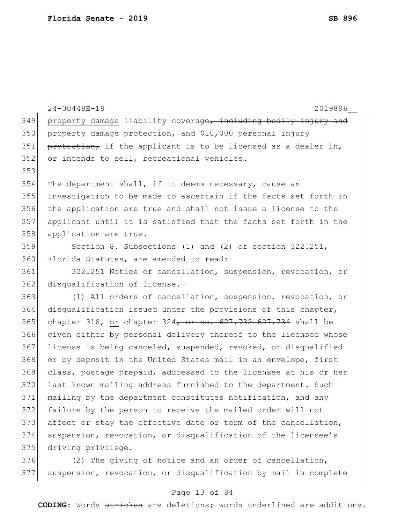|     | 24-00449E-19<br>2019896                                             |
|-----|---------------------------------------------------------------------|
| 349 | property damage liability coverage, including bodily injury and     |
| 350 | property damage protection, and \$10,000 personal injury            |
| 351 | protection, if the applicant is to be licensed as a dealer in,      |
| 352 | or intends to sell, recreational vehicles.                          |
| 353 |                                                                     |
| 354 | The department shall, if it deems necessary, cause an               |
| 355 | investigation to be made to ascertain if the facts set forth in     |
| 356 | the application are true and shall not issue a license to the       |
| 357 | applicant until it is satisfied that the facts set forth in the     |
| 358 | application are true.                                               |
| 359 | Section 8. Subsections (1) and (2) of section 322.251,              |
| 360 | Florida Statutes, are amended to read:                              |
| 361 | 322.251 Notice of cancellation, suspension, revocation, or          |
| 362 | disqualification of license.-                                       |
| 363 | (1) All orders of cancellation, suspension, revocation, or          |
| 364 | disqualification issued under the provisions of this chapter,       |
| 365 | chapter 318, or chapter $324$ , or ss. $627.732 - 627.734$ shall be |
| 366 | given either by personal delivery thereof to the licensee whose     |
| 367 | license is being canceled, suspended, revoked, or disqualified      |
| 368 | or by deposit in the United States mail in an envelope, first       |
| 369 | class, postage prepaid, addressed to the licensee at his or her     |
| 370 | last known mailing address furnished to the department. Such        |
| 371 | mailing by the department constitutes notification, and any         |
| 372 | failure by the person to receive the mailed order will not          |
| 373 | affect or stay the effective date or term of the cancellation,      |
| 374 | suspension, revocation, or disqualification of the licensee's       |
| 375 | driving privilege.                                                  |
| 376 | (2) The giving of notice and an order of cancellation,              |
| 377 | suspension, revocation, or disqualification by mail is complete     |

# Page 13 of 84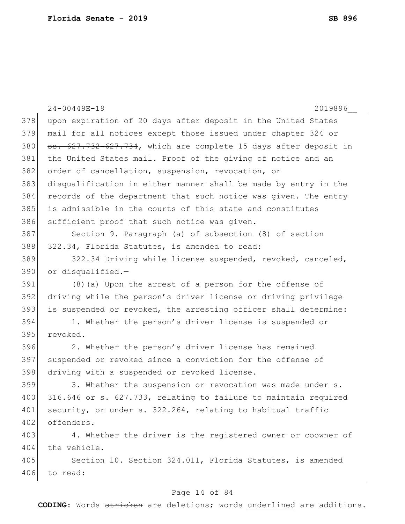|     | $24 - 00449E - 19$<br>2019896                                    |
|-----|------------------------------------------------------------------|
| 378 | upon expiration of 20 days after deposit in the United States    |
| 379 | mail for all notices except those issued under chapter 324 or    |
| 380 | ss. 627.732-627.734, which are complete 15 days after deposit in |
| 381 | the United States mail. Proof of the giving of notice and an     |
| 382 | order of cancellation, suspension, revocation, or                |
| 383 | disqualification in either manner shall be made by entry in the  |
| 384 | records of the department that such notice was given. The entry  |
| 385 | is admissible in the courts of this state and constitutes        |
| 386 | sufficient proof that such notice was given.                     |
| 387 | Section 9. Paragraph (a) of subsection (8) of section            |
| 388 | 322.34, Florida Statutes, is amended to read:                    |
| 389 | 322.34 Driving while license suspended, revoked, canceled,       |
| 390 | or disqualified.-                                                |
| 391 | (8) (a) Upon the arrest of a person for the offense of           |
| 392 | driving while the person's driver license or driving privilege   |
| 393 | is suspended or revoked, the arresting officer shall determine:  |
| 394 | 1. Whether the person's driver license is suspended or           |
| 395 | revoked.                                                         |
| 396 | 2. Whether the person's driver license has remained              |
| 397 | suspended or revoked since a conviction for the offense of       |
| 398 | driving with a suspended or revoked license.                     |
| 399 | 3. Whether the suspension or revocation was made under s.        |
| 400 | 316.646 or s. 627.733, relating to failure to maintain required  |
| 401 | security, or under s. 322.264, relating to habitual traffic      |
| 402 | offenders.                                                       |
| 403 | 4. Whether the driver is the registered owner or coowner of      |
| 404 | the vehicle.                                                     |
| 405 | Section 10. Section 324.011, Florida Statutes, is amended        |
| 406 | to read:                                                         |
|     |                                                                  |

# Page 14 of 84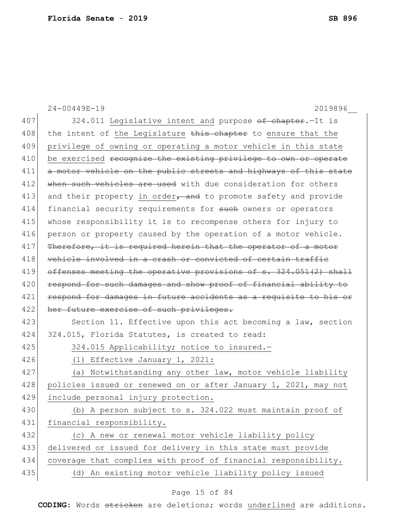|     | $24 - 00449E - 19$<br>2019896                                    |
|-----|------------------------------------------------------------------|
| 407 | 324.011 Legislative intent and purpose of chapter. - It is       |
| 408 | the intent of the Legislature this chapter to ensure that the    |
| 409 | privilege of owning or operating a motor vehicle in this state   |
| 410 | be exercised recognize the existing privilege to own or operate  |
| 411 |                                                                  |
|     | a motor vehicle on the public streets and highways of this state |
| 412 | when such vehicles are used with due consideration for others    |
| 413 | and their property in order, and to promote safety and provide   |
| 414 | financial security requirements for such owners or operators     |
| 415 | whose responsibility it is to recompense others for injury to    |
| 416 | person or property caused by the operation of a motor vehicle.   |
| 417 | Therefore, it is required herein that the operator of a motor    |
| 418 | vehicle involved in a crash or convicted of certain traffic      |
| 419 | offenses meeting the operative provisions of s. 324.051(2) shall |
| 420 | respond for such damages and show proof of financial ability to  |
| 421 | respond for damages in future accidents as a requisite to his or |
| 422 | her future exercise of such privileges.                          |
| 423 | Section 11. Effective upon this act becoming a law, section      |
| 424 | 324.015, Florida Statutes, is created to read:                   |
| 425 | 324.015 Applicability; notice to insured.-                       |
| 426 | (1) Effective January 1, 2021:                                   |
| 427 | (a) Notwithstanding any other law, motor vehicle liability       |
| 428 | policies issued or renewed on or after January 1, 2021, may not  |
| 429 | include personal injury protection.                              |
| 430 | (b) A person subject to s. 324.022 must maintain proof of        |
| 431 | financial responsibility.                                        |
| 432 | (c) A new or renewal motor vehicle liability policy              |
| 433 | delivered or issued for delivery in this state must provide      |
| 434 | coverage that complies with proof of financial responsibility.   |
| 435 | (d) An existing motor vehicle liability policy issued            |

# Page 15 of 84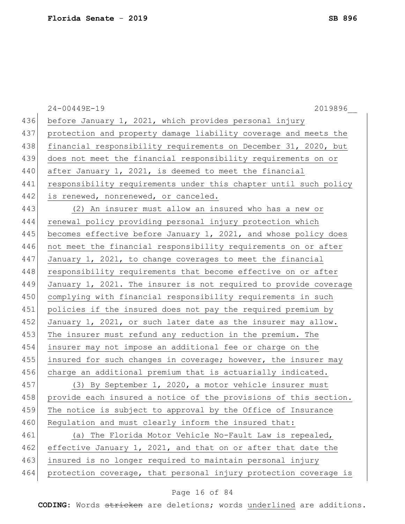|     | $24 - 00449E - 19$<br>2019896                                    |
|-----|------------------------------------------------------------------|
| 436 | before January 1, 2021, which provides personal injury           |
| 437 | protection and property damage liability coverage and meets the  |
| 438 | financial responsibility requirements on December 31, 2020, but  |
| 439 | does not meet the financial responsibility requirements on or    |
| 440 | after January 1, 2021, is deemed to meet the financial           |
| 441 | responsibility requirements under this chapter until such policy |
| 442 | is renewed, nonrenewed, or canceled.                             |
| 443 | (2) An insurer must allow an insured who has a new or            |
| 444 | renewal policy providing personal injury protection which        |
| 445 | becomes effective before January 1, 2021, and whose policy does  |
| 446 | not meet the financial responsibility requirements on or after   |
| 447 | January 1, 2021, to change coverages to meet the financial       |
| 448 | responsibility requirements that become effective on or after    |
| 449 | January 1, 2021. The insurer is not required to provide coverage |
| 450 | complying with financial responsibility requirements in such     |
| 451 | policies if the insured does not pay the required premium by     |
| 452 | January 1, 2021, or such later date as the insurer may allow.    |
| 453 | The insurer must refund any reduction in the premium. The        |
| 454 | insurer may not impose an additional fee or charge on the        |
| 455 | insured for such changes in coverage; however, the insurer may   |
| 456 | charge an additional premium that is actuarially indicated.      |
| 457 | (3) By September 1, 2020, a motor vehicle insurer must           |
| 458 | provide each insured a notice of the provisions of this section. |
| 459 | The notice is subject to approval by the Office of Insurance     |
| 460 | Regulation and must clearly inform the insured that:             |
| 461 | (a) The Florida Motor Vehicle No-Fault Law is repealed,          |
| 462 | effective January 1, 2021, and that on or after that date the    |
| 463 | insured is no longer required to maintain personal injury        |
| 464 | protection coverage, that personal injury protection coverage is |
|     |                                                                  |

# Page 16 of 84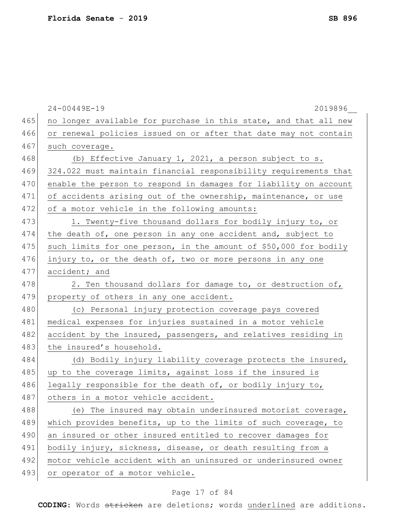|     | 24-00449E-19<br>2019896                                          |
|-----|------------------------------------------------------------------|
| 465 | no longer available for purchase in this state, and that all new |
| 466 | or renewal policies issued on or after that date may not contain |
| 467 | such coverage.                                                   |
| 468 | (b) Effective January 1, 2021, a person subject to s.            |
| 469 | 324.022 must maintain financial responsibility requirements that |
| 470 | enable the person to respond in damages for liability on account |
| 471 | of accidents arising out of the ownership, maintenance, or use   |
| 472 | of a motor vehicle in the following amounts:                     |
| 473 | 1. Twenty-five thousand dollars for bodily injury to, or         |
| 474 | the death of, one person in any one accident and, subject to     |
| 475 | such limits for one person, in the amount of \$50,000 for bodily |
| 476 | injury to, or the death of, two or more persons in any one       |
| 477 | accident; and                                                    |
| 478 | 2. Ten thousand dollars for damage to, or destruction of,        |
| 479 | property of others in any one accident.                          |
| 480 | (c) Personal injury protection coverage pays covered             |
| 481 | medical expenses for injuries sustained in a motor vehicle       |
| 482 | accident by the insured, passengers, and relatives residing in   |
| 483 | the insured's household.                                         |
| 484 | (d) Bodily injury liability coverage protects the insured,       |
| 485 | up to the coverage limits, against loss if the insured is        |
| 486 | legally responsible for the death of, or bodily injury to,       |
| 487 | others in a motor vehicle accident.                              |
| 488 | (e) The insured may obtain underinsured motorist coverage,       |
| 489 | which provides benefits, up to the limits of such coverage, to   |
| 490 | an insured or other insured entitled to recover damages for      |
| 491 | bodily injury, sickness, disease, or death resulting from a      |
| 492 | motor vehicle accident with an uninsured or underinsured owner   |
| 493 | or operator of a motor vehicle.                                  |

# Page 17 of 84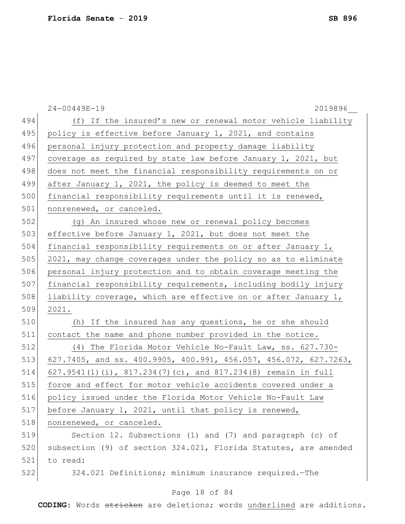|     | 24-00449E-19<br>2019896                                          |
|-----|------------------------------------------------------------------|
| 494 | (f) If the insured's new or renewal motor vehicle liability      |
| 495 | policy is effective before January 1, 2021, and contains         |
| 496 | personal injury protection and property damage liability         |
| 497 | coverage as required by state law before January 1, 2021, but    |
| 498 | does not meet the financial responsibility requirements on or    |
| 499 | after January 1, 2021, the policy is deemed to meet the          |
| 500 | financial responsibility requirements until it is renewed,       |
| 501 | nonrenewed, or canceled.                                         |
| 502 | (g) An insured whose new or renewal policy becomes               |
| 503 | effective before January 1, 2021, but does not meet the          |
| 504 | financial responsibility requirements on or after January 1,     |
| 505 | 2021, may change coverages under the policy so as to eliminate   |
| 506 | personal injury protection and to obtain coverage meeting the    |
| 507 | financial responsibility requirements, including bodily injury   |
| 508 | liability coverage, which are effective on or after January 1,   |
| 509 | 2021.                                                            |
| 510 | (h) If the insured has any questions, he or she should           |
| 511 | contact the name and phone number provided in the notice.        |
| 512 | (4) The Florida Motor Vehicle No-Fault Law, ss. 627.730-         |
| 513 | 627.7405, and ss. 400.9905, 400.991, 456.057, 456.072, 627.7263, |
| 514 | 627.9541(1)(i), 817.234(7)(c), and 817.234(8) remain in full     |
| 515 | force and effect for motor vehicle accidents covered under a     |
| 516 | policy issued under the Florida Motor Vehicle No-Fault Law       |
| 517 | before January 1, 2021, until that policy is renewed,            |
| 518 | nonrenewed, or canceled.                                         |
| 519 | Section 12. Subsections (1) and (7) and paragraph (c) of         |
| 520 | subsection (9) of section 324.021, Florida Statutes, are amended |
| 521 | to read:                                                         |
| 522 | 324.021 Definitions; minimum insurance required. - The           |
|     | Page 18 of 84                                                    |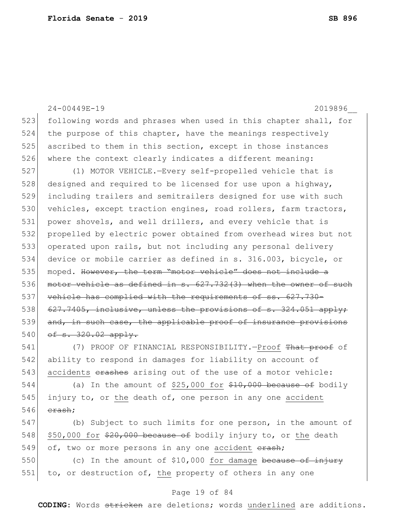24-00449E-19 2019896\_\_ 523 following words and phrases when used in this chapter shall, for 524 the purpose of this chapter, have the meanings respectively 525 ascribed to them in this section, except in those instances 526 where the context clearly indicates a different meaning: 527 (1) MOTOR VEHICLE.—Every self-propelled vehicle that is 528 designed and required to be licensed for use upon a highway, 529 including trailers and semitrailers designed for use with such 530 vehicles, except traction engines, road rollers, farm tractors, 531 power shovels, and well drillers, and every vehicle that is 532 propelled by electric power obtained from overhead wires but not 533 operated upon rails, but not including any personal delivery 534 device or mobile carrier as defined in s. 316.003, bicycle, or 535 moped. However, the term "motor vehicle" does not include a 536 motor vehicle as defined in s. 627.732(3) when the owner of such 537 vehicle has complied with the requirements of ss. 627.730- $538$  627.7405, inclusive, unless the provisions of s. 324.051 apply; 539 and, in such case, the applicable proof of insurance provisions 540  $of s. 320.02 apply.$ 541 (7) PROOF OF FINANCIAL RESPONSIBILITY.—Proof <del>That proof</del> of 542 ability to respond in damages for liability on account of  $543$  accidents  $\theta$  erashes arising out of the use of a motor vehicle: 544 (a) In the amount of \$25,000 for  $$10,000$  because of bodily 545 injury to, or the death of, one person in any one accident  $546$  erash;

547 (b) Subject to such limits for one person, in the amount of 548  $\,$  \$50,000 for \$20,000 because of bodily injury to, or the death 549 of, two or more persons in any one accident  $\frac{1}{2}$ ;

550 (c) In the amount of \$10,000 for damage because of injury 551 to, or destruction of, the property of others in any one

## Page 19 of 84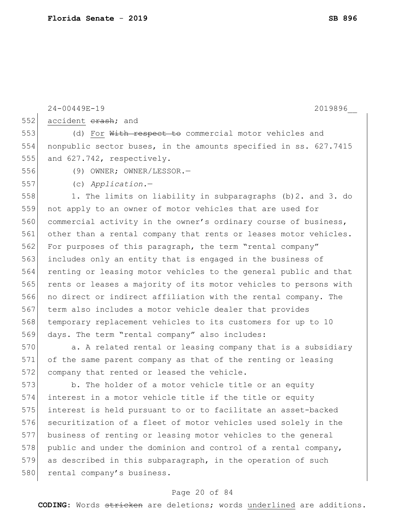|     | 24-00449E-19<br>2019896                                          |
|-----|------------------------------------------------------------------|
| 552 | accident erash; and                                              |
| 553 | (d) For With respect to commercial motor vehicles and            |
| 554 | nonpublic sector buses, in the amounts specified in ss. 627.7415 |
| 555 | and 627.742, respectively.                                       |
| 556 | $(9)$ OWNER; OWNER/LESSOR.-                                      |
| 557 | $(c)$ Application.-                                              |
| 558 | 1. The limits on liability in subparagraphs (b) 2. and 3. do     |
| 559 | not apply to an owner of motor vehicles that are used for        |
| 560 | commercial activity in the owner's ordinary course of business,  |
| 561 | other than a rental company that rents or leases motor vehicles. |
| 562 | For purposes of this paragraph, the term "rental company"        |
| 563 | includes only an entity that is engaged in the business of       |
| 564 | renting or leasing motor vehicles to the general public and that |
| 565 | rents or leases a majority of its motor vehicles to persons with |
| 566 | no direct or indirect affiliation with the rental company. The   |
| 567 | term also includes a motor vehicle dealer that provides          |
| 568 | temporary replacement vehicles to its customers for up to 10     |
| 569 | days. The term "rental company" also includes:                   |
| 570 | a. A related rental or leasing company that is a subsidiary      |
| 571 | of the same parent company as that of the renting or leasing     |
| 572 | company that rented or leased the vehicle.                       |
| 573 | b. The holder of a motor vehicle title or an equity              |
| 574 | interest in a motor vehicle title if the title or equity         |
| 575 | interest is held pursuant to or to facilitate an asset-backed    |
| 576 | securitization of a fleet of motor vehicles used solely in the   |
| 577 | business of renting or leasing motor vehicles to the general     |
| 578 | public and under the dominion and control of a rental company,   |
| 579 | as described in this subparagraph, in the operation of such      |

## Page 20 of 84

**CODING**: Words stricken are deletions; words underlined are additions.

580 rental company's business.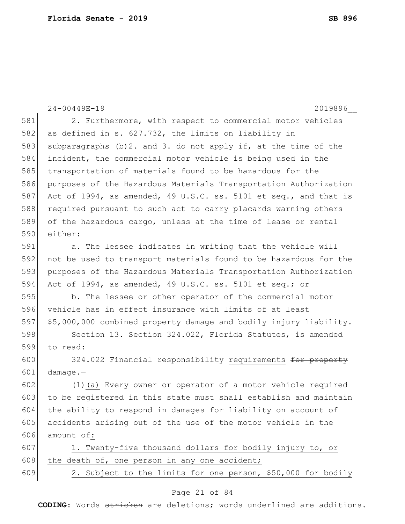24-00449E-19 2019896\_\_ 581 2. Furthermore, with respect to commercial motor vehicles 582  $\sigma$  as defined in s. 627.732, the limits on liability in 583 subparagraphs (b)2. and 3. do not apply if, at the time of the 584 incident, the commercial motor vehicle is being used in the 585 transportation of materials found to be hazardous for the 586 purposes of the Hazardous Materials Transportation Authorization 587 Act of 1994, as amended, 49 U.S.C. ss. 5101 et seq., and that is 588 required pursuant to such act to carry placards warning others 589 of the hazardous cargo, unless at the time of lease or rental 590 either: 591 a. The lessee indicates in writing that the vehicle will 592 not be used to transport materials found to be hazardous for the 593 purposes of the Hazardous Materials Transportation Authorization 594 Act of 1994, as amended, 49 U.S.C. ss. 5101 et seq.; or 595 b. The lessee or other operator of the commercial motor 596 vehicle has in effect insurance with limits of at least 597 \$5,000,000 combined property damage and bodily injury liability. 598 Section 13. Section 324.022, Florida Statutes, is amended 599 to read: 600 324.022 Financial responsibility requirements for property 601  $d$ amage.-602 (1)(a) Every owner or operator of a motor vehicle required 603 to be registered in this state must  $shall$  establish and maintain 604 the ability to respond in damages for liability on account of 605 accidents arising out of the use of the motor vehicle in the 606 amount of: 607 1. Twenty-five thousand dollars for bodily injury to, or 608 the death of, one person in any one accident; 609 2. Subject to the limits for one person, \$50,000 for bodily

## Page 21 of 84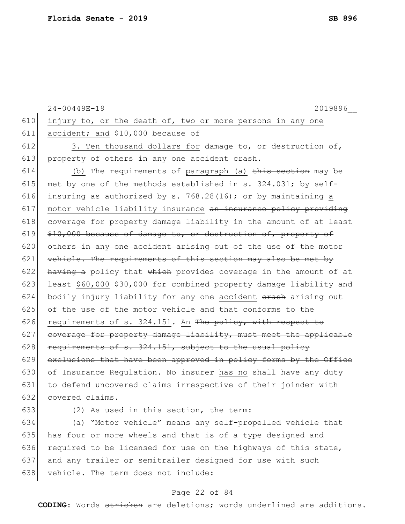|     | 24-00449E-19<br>2019896                                            |
|-----|--------------------------------------------------------------------|
| 610 | injury to, or the death of, two or more persons in any one         |
| 611 | accident; and \$10,000 because of                                  |
| 612 | 3. Ten thousand dollars for damage to, or destruction of,          |
| 613 | property of others in any one accident erash.                      |
| 614 | (b) The requirements of paragraph (a) this section may be          |
| 615 | met by one of the methods established in s. 324.031; by self-      |
| 616 | insuring as authorized by s. 768.28(16); or by maintaining a       |
| 617 | motor vehicle liability insurance an insurance policy providing    |
| 618 | coverage for property damage liability in the amount of at least   |
| 619 | \$10,000 because of damage to, or destruction of, property of      |
| 620 | others in any one accident arising out of the use of the motor     |
| 621 | vehicle. The requirements of this section may also be met by       |
| 622 | having a policy that which provides coverage in the amount of at   |
| 623 | least \$60,000 \$30,000 for combined property damage liability and |
| 624 | bodily injury liability for any one accident erash arising out     |
| 625 | of the use of the motor vehicle and that conforms to the           |
| 626 | requirements of s. 324.151. An The policy, with respect to         |
| 627 | coverage for property damage liability, must meet the applicable   |
| 628 | requirements of s. 324.151, subject to the usual policy            |
| 629 | exclusions that have been approved in policy forms by the Office   |
| 630 | of Insurance Regulation. No insurer has no shall have any duty     |
| 631 | to defend uncovered claims irrespective of their joinder with      |
| 632 | covered claims.                                                    |
| 633 | (2) As used in this section, the term:                             |

634 (a) "Motor vehicle" means any self-propelled vehicle that 635 has four or more wheels and that is of a type designed and 636 required to be licensed for use on the highways of this state, 637 and any trailer or semitrailer designed for use with such 638 vehicle. The term does not include:

## Page 22 of 84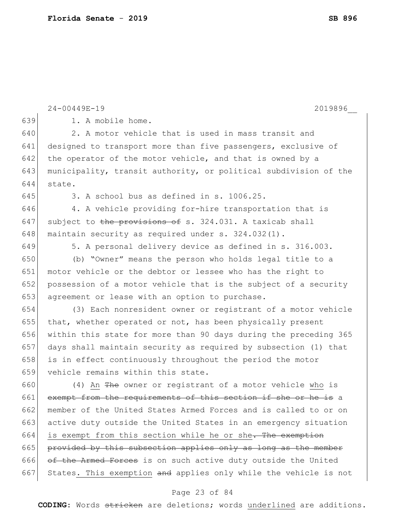|     | 24-00449E-19<br>2019896                                                      |
|-----|------------------------------------------------------------------------------|
| 639 | 1. A mobile home.                                                            |
| 640 | 2. A motor vehicle that is used in mass transit and                          |
| 641 | designed to transport more than five passengers, exclusive of                |
| 642 | the operator of the motor vehicle, and that is owned by a                    |
| 643 | municipality, transit authority, or political subdivision of the             |
| 644 | state.                                                                       |
| 645 | 3. A school bus as defined in s. 1006.25.                                    |
| 646 | 4. A vehicle providing for-hire transportation that is                       |
| 647 | subject to the provisions of s. 324.031. A taxicab shall                     |
| 648 | maintain security as required under s. 324.032(1).                           |
| 649 | 5. A personal delivery device as defined in s. 316.003.                      |
| 650 | (b) "Owner" means the person who holds legal title to a                      |
| 651 | motor vehicle or the debtor or lessee who has the right to                   |
| 652 | possession of a motor vehicle that is the subject of a security              |
| 653 | agreement or lease with an option to purchase.                               |
| 654 | (3) Each nonresident owner or registrant of a motor vehicle                  |
| 655 | that, whether operated or not, has been physically present                   |
| 656 | within this state for more than 90 days during the preceding 365             |
| 657 | days shall maintain security as required by subsection (1) that              |
| 658 | is in effect continuously throughout the period the motor                    |
| 659 | vehicle remains within this state.                                           |
| 660 | (4) An The owner or registrant of a motor vehicle who is                     |
| 661 | exempt from the requirements of this section if she or he<br><del>is</del> a |
| 662 | member of the United States Armed Forces and is called to or on              |
| 663 | active duty outside the United States in an emergency situation              |
| 664 | is exempt from this section while he or she <del>. The exemption</del>       |
| 665 | provided by this subsection applies only as long as the member               |
| 666 | of the Armed Forces is on such active duty outside the United                |
| 667 | States. This exemption and applies only while the vehicle is not             |
|     |                                                                              |

## Page 23 of 84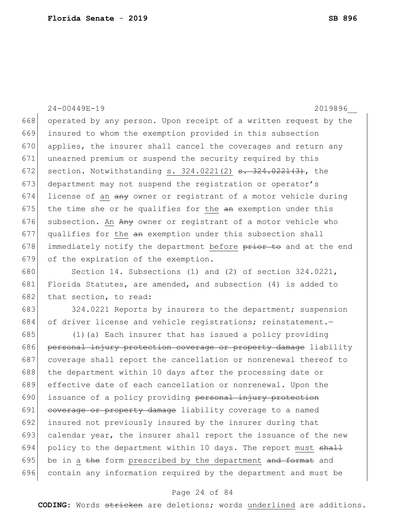24-00449E-19 2019896\_\_ 668 operated by any person. Upon receipt of a written request by the 669 insured to whom the exemption provided in this subsection 670 applies, the insurer shall cancel the coverages and return any 671 unearned premium or suspend the security required by this 672 section. Notwithstanding s.  $324.0221(2)$  s.  $324.0221(3)$ , the 673 department may not suspend the registration or operator's 674 license of an  $\frac{a_n}{b_n}$  owner or registrant of a motor vehicle during 675 the time she or he qualifies for the  $an$  exemption under this 676 subsection. An  $A_{\text{H}}$  owner or registrant of a motor vehicle who 677 qualifies for the an exemption under this subsection shall 678 immediately notify the department before prior to and at the end 679 of the expiration of the exemption.

680 Section 14. Subsections (1) and (2) of section 324.0221, 681 Florida Statutes, are amended, and subsection (4) is added to 682 that section, to read:

683 324.0221 Reports by insurers to the department; suspension 684 of driver license and vehicle registrations; reinstatement.

685  $(1)(a)$  Each insurer that has issued a policy providing 686 personal injury protection coverage or property damage liability 687 coverage shall report the cancellation or nonrenewal thereof to 688 the department within 10 days after the processing date or 689 effective date of each cancellation or nonrenewal. Upon the 690 issuance of a policy providing personal injury protection 691 coverage or property damage liability coverage to a named 692 insured not previously insured by the insurer during that 693 calendar year, the insurer shall report the issuance of the new 694 policy to the department within 10 days. The report must  $shall$ 695 be in a the form prescribed by the department and format and 696 contain any information required by the department and must be

## Page 24 of 84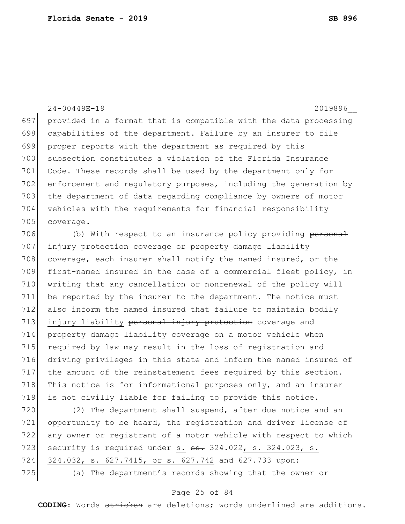24-00449E-19 2019896\_\_ 697 provided in a format that is compatible with the data processing 698 capabilities of the department. Failure by an insurer to file 699 proper reports with the department as required by this 700 subsection constitutes a violation of the Florida Insurance 701 Code. These records shall be used by the department only for 702 enforcement and regulatory purposes, including the generation by 703 the department of data regarding compliance by owners of motor 704 vehicles with the requirements for financial responsibility 705 coverage. 706 (b) With respect to an insurance policy providing personal 707 injury protection coverage or property damage liability 708 coverage, each insurer shall notify the named insured, or the 709 first-named insured in the case of a commercial fleet policy, in 710 writing that any cancellation or nonrenewal of the policy will 711 be reported by the insurer to the department. The notice must 712 also inform the named insured that failure to maintain bodily 713 injury liability personal injury protection coverage and 714 property damage liability coverage on a motor vehicle when 715 required by law may result in the loss of registration and 716 driving privileges in this state and inform the named insured of

717 the amount of the reinstatement fees required by this section. 718 This notice is for informational purposes only, and an insurer 719 is not civilly liable for failing to provide this notice.

720 (2) The department shall suspend, after due notice and an 721 opportunity to be heard, the registration and driver license of 722 any owner or registrant of a motor vehicle with respect to which 723 security is required under s.  $\frac{1}{3}$  324.022, s. 324.023, s. 724 324.032, s. 627.7415, or s. 627.742 and 627.733 upon: 725 (a) The department's records showing that the owner or

## Page 25 of 84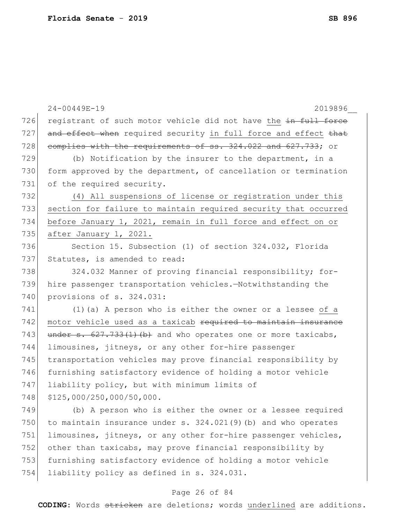|     | 24-00449E-19<br>2019896                                                                                                              |
|-----|--------------------------------------------------------------------------------------------------------------------------------------|
| 726 | registrant of such motor vehicle did not have the in full force                                                                      |
| 727 | and effect when required security in full force and effect that                                                                      |
| 728 | complies with the requirements of ss. 324.022 and 627.733; or                                                                        |
| 729 | (b) Notification by the insurer to the department, in a                                                                              |
| 730 | form approved by the department, of cancellation or termination                                                                      |
| 731 | of the required security.                                                                                                            |
| 732 | (4) All suspensions of license or registration under this                                                                            |
| 733 | section for failure to maintain required security that occurred                                                                      |
| 734 | before January 1, 2021, remain in full force and effect on or                                                                        |
| 735 | after January 1, 2021.                                                                                                               |
| 736 | Section 15. Subsection (1) of section 324.032, Florida                                                                               |
| 737 | Statutes, is amended to read:                                                                                                        |
| 738 | 324.032 Manner of proving financial responsibility; for-                                                                             |
| 739 | hire passenger transportation vehicles.-Notwithstanding the                                                                          |
| 740 | provisions of s. 324.031:                                                                                                            |
| 741 | $(1)$ (a) A person who is either the owner or a lessee of a                                                                          |
| 742 | motor vehicle used as a taxicab required to maintain insurance                                                                       |
| 743 | $\frac{1}{2}$ , $\frac{1}{2}$ , $\frac{1}{2}$ , $\frac{1}{2}$ , $\frac{1}{2}$ , $\frac{1}{2}$ and who operates one or more taxicabs, |
| 744 | limousines, jitneys, or any other for-hire passenger                                                                                 |
| 745 | transportation vehicles may prove financial responsibility by                                                                        |
| 746 | furnishing satisfactory evidence of holding a motor vehicle                                                                          |
| 747 | liability policy, but with minimum limits of                                                                                         |
| 748 | \$125,000/250,000/50,000.                                                                                                            |
| 749 | (b) A person who is either the owner or a lessee required                                                                            |
| 750 | to maintain insurance under s. 324.021(9) (b) and who operates                                                                       |
| 751 | limousines, jitneys, or any other for-hire passenger vehicles,                                                                       |
| 752 | other than taxicabs, may prove financial responsibility by                                                                           |
| 753 | furnishing satisfactory evidence of holding a motor vehicle                                                                          |
| 754 | liability policy as defined in s. 324.031.                                                                                           |

# Page 26 of 84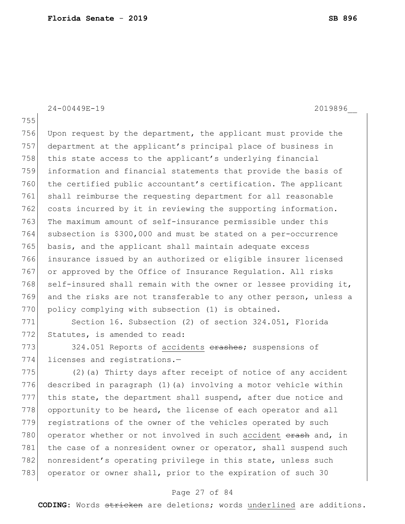24-00449E-19 2019896\_\_

755

756 Upon request by the department, the applicant must provide the 757 department at the applicant's principal place of business in 758 this state access to the applicant's underlying financial 759 information and financial statements that provide the basis of 760 the certified public accountant's certification. The applicant 761 shall reimburse the requesting department for all reasonable 762 costs incurred by it in reviewing the supporting information. 763 The maximum amount of self-insurance permissible under this 764 subsection is \$300,000 and must be stated on a per-occurrence 765 basis, and the applicant shall maintain adequate excess 766 insurance issued by an authorized or eligible insurer licensed 767 or approved by the Office of Insurance Regulation. All risks 768 self-insured shall remain with the owner or lessee providing it, 769 and the risks are not transferable to any other person, unless a 770 policy complying with subsection (1) is obtained.

771 Section 16. Subsection (2) of section 324.051, Florida 772 Statutes, is amended to read:

773 324.051 Reports of accidents erashes; suspensions of 774 licenses and registrations.-

775 (2)(a) Thirty days after receipt of notice of any accident 776 described in paragraph (1)(a) involving a motor vehicle within 777 this state, the department shall suspend, after due notice and 778 opportunity to be heard, the license of each operator and all 779 registrations of the owner of the vehicles operated by such 780 operator whether or not involved in such accident erash and, in 781 the case of a nonresident owner or operator, shall suspend such 782 nonresident's operating privilege in this state, unless such 783 operator or owner shall, prior to the expiration of such 30

## Page 27 of 84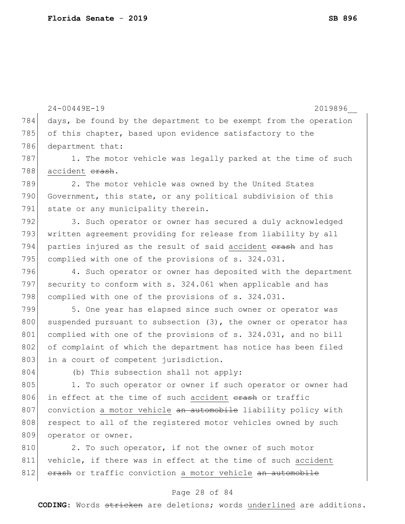24-00449E-19 2019896\_\_ 784 days, be found by the department to be exempt from the operation 785 of this chapter, based upon evidence satisfactory to the 786 department that: 787 1. The motor vehicle was legally parked at the time of such 788 accident erash. 789 2. The motor vehicle was owned by the United States 790 Government, this state, or any political subdivision of this 791 state or any municipality therein. 792 3. Such operator or owner has secured a duly acknowledged 793 written agreement providing for release from liability by all 794 parties injured as the result of said accident erash and has 795 complied with one of the provisions of s. 324.031. 796 4. Such operator or owner has deposited with the department 797 security to conform with s. 324.061 when applicable and has 798 complied with one of the provisions of s. 324.031. 799 5. One year has elapsed since such owner or operator was 800 suspended pursuant to subsection (3), the owner or operator has 801 complied with one of the provisions of s. 324.031, and no bill 802 of complaint of which the department has notice has been filed 803 in a court of competent jurisdiction. 804 (b) This subsection shall not apply: 805 1. To such operator or owner if such operator or owner had 806 in effect at the time of such accident erash or traffic 807 conviction a motor vehicle an automobile liability policy with 808 respect to all of the registered motor vehicles owned by such 809 operator or owner. 810 2. To such operator, if not the owner of such motor 811 vehicle, if there was in effect at the time of such accident 812 erash or traffic conviction a motor vehicle an automobile

## Page 28 of 84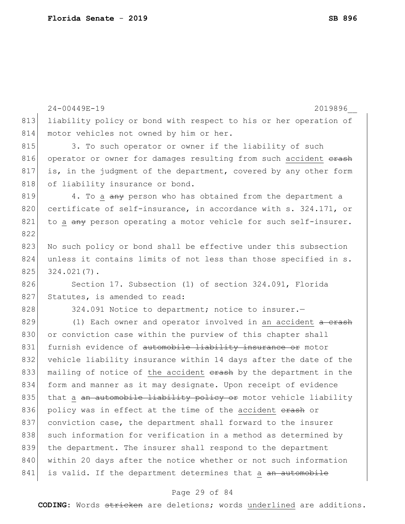|     | 24-00449E-19<br>2019896                                          |
|-----|------------------------------------------------------------------|
| 813 | liability policy or bond with respect to his or her operation of |
| 814 | motor vehicles not owned by him or her.                          |
| 815 | 3. To such operator or owner if the liability of such            |
| 816 | operator or owner for damages resulting from such accident erash |
| 817 | is, in the judgment of the department, covered by any other form |
| 818 | of liability insurance or bond.                                  |
| 819 | 4. To a any person who has obtained from the department a        |
| 820 | certificate of self-insurance, in accordance with s. 324.171, or |
| 821 | to a any person operating a motor vehicle for such self-insurer. |
| 822 |                                                                  |
| 823 | No such policy or bond shall be effective under this subsection  |
| 824 | unless it contains limits of not less than those specified in s. |
| 825 | $324.021(7)$ .                                                   |
| 826 | Section 17. Subsection (1) of section 324.091, Florida           |
| 827 | Statutes, is amended to read:                                    |
| 828 | 324.091 Notice to department; notice to insurer.-                |
| 829 | (1) Each owner and operator involved in an accident a crash      |
| 830 | or conviction case within the purview of this chapter shall      |
| 831 | furnish evidence of automobile liability insurance or motor      |
| 832 | vehicle liability insurance within 14 days after the date of the |
| 833 | mailing of notice of the accident erash by the department in the |
| 834 | form and manner as it may designate. Upon receipt of evidence    |
| 835 | that a an automobile liability policy or motor vehicle liability |
| 836 | policy was in effect at the time of the accident erash or        |
| 837 | conviction case, the department shall forward to the insurer     |
| 838 | such information for verification in a method as determined by   |
| 839 | the department. The insurer shall respond to the department      |
| 840 | within 20 days after the notice whether or not such information  |
| 841 | is valid. If the department determines that a an automobile      |
|     |                                                                  |

# Page 29 of 84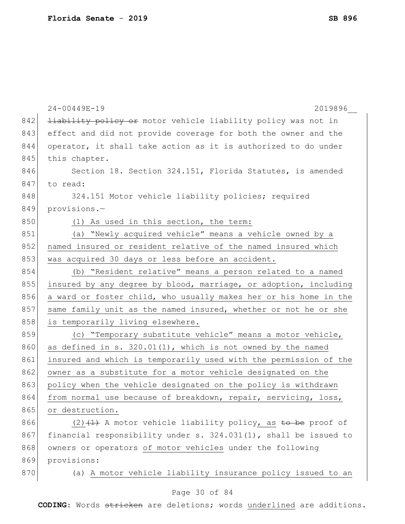|     | 24-00449E-19<br>2019896                                              |
|-----|----------------------------------------------------------------------|
| 842 | <b>liability policy or</b> motor vehicle liability policy was not in |
| 843 | effect and did not provide coverage for both the owner and the       |
| 844 | operator, it shall take action as it is authorized to do under       |
| 845 | this chapter.                                                        |
| 846 | Section 18. Section 324.151, Florida Statutes, is amended            |
| 847 | to read:                                                             |
| 848 | 324.151 Motor vehicle liability policies; required                   |
| 849 | provisions.-                                                         |
| 850 | (1) As used in this section, the term:                               |
| 851 | (a) "Newly acquired vehicle" means a vehicle owned by a              |
| 852 | named insured or resident relative of the named insured which        |
| 853 | was acquired 30 days or less before an accident.                     |
| 854 | (b) "Resident relative" means a person related to a named            |
| 855 | insured by any degree by blood, marriage, or adoption, including     |
| 856 | a ward or foster child, who usually makes her or his home in the     |
| 857 | same family unit as the named insured, whether or not he or she      |
| 858 | is temporarily living elsewhere.                                     |
| 859 | (c) "Temporary substitute vehicle" means a motor vehicle,            |
| 860 | as defined in s. 320.01(1), which is not owned by the named          |
| 861 | insured and which is temporarily used with the permission of the     |
| 862 | owner as a substitute for a motor vehicle designated on the          |
| 863 | policy when the vehicle designated on the policy is withdrawn        |
| 864 | from normal use because of breakdown, repair, servicing, loss,       |
| 865 | or destruction.                                                      |
| 866 | $(2)$ $(1)$ A motor vehicle liability policy, as to be proof of      |
| 867 | financial responsibility under s. $324.031(1)$ , shall be issued to  |
| 868 | owners or operators of motor vehicles under the following            |
| 869 | provisions:                                                          |
| 870 | (a) A motor vehicle liability insurance policy issued to an          |
|     | Page 30 of 84                                                        |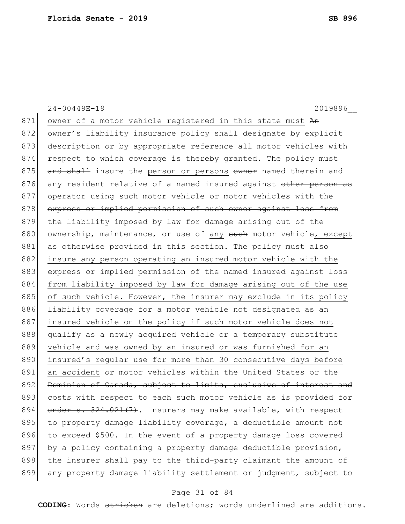24-00449E-19 2019896\_\_ 871 owner of a motor vehicle registered in this state must An 872 owner's liability insurance policy shall designate by explicit 873 description or by appropriate reference all motor vehicles with 874 respect to which coverage is thereby granted. The policy must 875 and shall insure the person or persons owner named therein and 876 any resident relative of a named insured against other person as 877 operator using such motor vehicle or motor vehicles with the 878 express or implied permission of such owner against loss from 879 the liability imposed by law for damage arising out of the 880 ownership, maintenance, or use of any such motor vehicle, except 881 as otherwise provided in this section. The policy must also 882 insure any person operating an insured motor vehicle with the 883 express or implied permission of the named insured against loss 884 from liability imposed by law for damage arising out of the use 885 of such vehicle. However, the insurer may exclude in its policy 886 liability coverage for a motor vehicle not designated as an 887 insured vehicle on the policy if such motor vehicle does not 888 qualify as a newly acquired vehicle or a temporary substitute 889 vehicle and was owned by an insured or was furnished for an 890 insured's regular use for more than 30 consecutive days before 891 an accident or motor vehicles within the United States or the 892 Dominion of Canada, subject to limits, exclusive of interest and 893 costs with respect to each such motor vehicle as is provided for 894  $\mid$  under s. 324.021(7). Insurers may make available, with respect 895 to property damage liability coverage, a deductible amount not 896 to exceed \$500. In the event of a property damage loss covered 897 by a policy containing a property damage deductible provision, 898 the insurer shall pay to the third-party claimant the amount of 899 any property damage liability settlement or judgment, subject to

## Page 31 of 84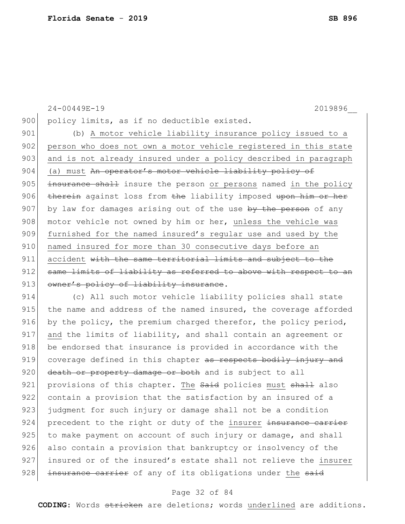```
24-00449E-19 2019896__
900 policy limits, as if no deductible existed.
901 (b) A motor vehicle liability insurance policy issued to a
902 person who does not own a motor vehicle registered in this state
903 and is not already insured under a policy described in paragraph
904 (a) must An operator's motor vehicle liability policy of
905 insurance shall insure the person or persons named in the policy
906 therein against loss from the liability imposed upon him or her
907 by law for damages arising out of the use by the person of any
908 motor vehicle not owned by him or her, unless the vehicle was
909 furnished for the named insured's regular use and used by the 
910 | named insured for more than 30 consecutive days before an
911 accident with the same territorial limits and subject to the
912 same limits of liability as referred to above with respect to an
913 owner's policy of liability insurance.
914 (c) All such motor vehicle liability policies shall state
```
915 the name and address of the named insured, the coverage afforded 916 by the policy, the premium charged therefor, the policy period, 917 and the limits of liability, and shall contain an agreement or 918 be endorsed that insurance is provided in accordance with the 919 coverage defined in this chapter as respects bodily injury and 920 death or property damage or both and is subject to all 921 provisions of this chapter. The Said policies must shall also 922 contain a provision that the satisfaction by an insured of a 923 judgment for such injury or damage shall not be a condition 924 precedent to the right or duty of the insurer insurance carrier 925 to make payment on account of such injury or damage, and shall 926 also contain a provision that bankruptcy or insolvency of the 927 insured or of the insured's estate shall not relieve the insurer 928 insurance carrier of any of its obligations under the said

## Page 32 of 84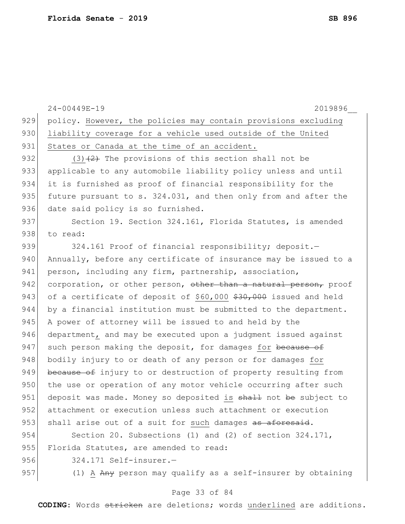|     | $24 - 00449E - 19$<br>2019896                                    |
|-----|------------------------------------------------------------------|
| 929 | policy. However, the policies may contain provisions excluding   |
| 930 | liability coverage for a vehicle used outside of the United      |
| 931 | States or Canada at the time of an accident.                     |
| 932 | $(3)$ $(2)$ The provisions of this section shall not be          |
| 933 | applicable to any automobile liability policy unless and until   |
| 934 | it is furnished as proof of financial responsibility for the     |
| 935 | future pursuant to s. 324.031, and then only from and after the  |
| 936 | date said policy is so furnished.                                |
| 937 | Section 19. Section 324.161, Florida Statutes, is amended        |
| 938 | to read:                                                         |
| 939 | 324.161 Proof of financial responsibility; deposit.-             |
| 940 | Annually, before any certificate of insurance may be issued to a |
| 941 | person, including any firm, partnership, association,            |
| 942 | corporation, or other person, other than a natural person, proof |
| 943 | of a certificate of deposit of \$60,000 \$30,000 issued and held |
| 944 | by a financial institution must be submitted to the department.  |
| 945 | A power of attorney will be issued to and held by the            |
| 946 | department, and may be executed upon a judgment issued against   |
| 947 | such person making the deposit, for damages for because of       |
| 948 | bodily injury to or death of any person or for damages for       |
| 949 | because of injury to or destruction of property resulting from   |
| 950 | the use or operation of any motor vehicle occurring after such   |
| 951 | deposit was made. Money so deposited is shall not be subject to  |
| 952 | attachment or execution unless such attachment or execution      |
| 953 | shall arise out of a suit for such damages as aforesaid.         |
| 954 | Section 20. Subsections (1) and (2) of section $324.171$ ,       |
| 955 | Florida Statutes, are amended to read:                           |
| 956 | 324.171 Self-insurer.-                                           |
| 957 | (1) A Any person may qualify as a self-insurer by obtaining      |

# Page 33 of 84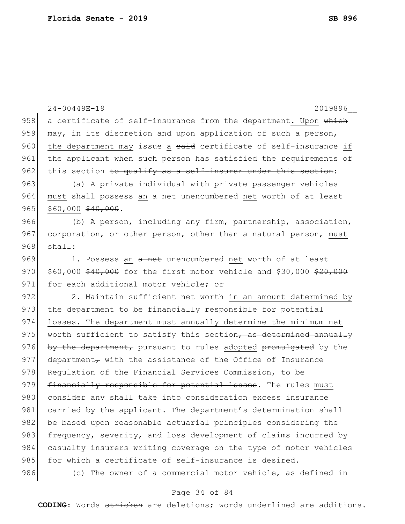|     | $24 - 00449E - 19$<br>2019896                                       |
|-----|---------------------------------------------------------------------|
| 958 | a certificate of self-insurance from the department. Upon which     |
| 959 | may, in its discretion and upon application of such a person,       |
| 960 | the department may issue a said certificate of self-insurance if    |
| 961 | the applicant when such person has satisfied the requirements of    |
| 962 | this section to qualify as a self-insurer under this section:       |
| 963 | (a) A private individual with private passenger vehicles            |
| 964 | must shall possess an a net unencumbered net worth of at least      |
| 965 | $$60,000$ $$40,000$ .                                               |
| 966 | (b) A person, including any firm, partnership, association,         |
| 967 | corporation, or other person, other than a natural person, must     |
| 968 | $sha++$ :                                                           |
| 969 | 1. Possess an a net unencumbered net worth of at least              |
| 970 | \$60,000 \$40,000 for the first motor vehicle and \$30,000 \$20,000 |
| 971 | for each additional motor vehicle; or                               |
| 972 | 2. Maintain sufficient net worth in an amount determined by         |
| 973 | the department to be financially responsible for potential          |
| 974 | losses. The department must annually determine the minimum net      |
| 975 | worth sufficient to satisfy this section, as determined annually    |
| 976 | by the department, pursuant to rules adopted promulgated by the     |
| 977 | department $\tau$ with the assistance of the Office of Insurance    |
| 978 | Requlation of the Financial Services Commission, to be              |
| 979 | financially responsible for potential losses. The rules must        |
| 980 | consider any shall take into consideration excess insurance         |
| 981 | carried by the applicant. The department's determination shall      |
| 982 | be based upon reasonable actuarial principles considering the       |
| 983 | frequency, severity, and loss development of claims incurred by     |
| 984 | casualty insurers writing coverage on the type of motor vehicles    |
| 985 | for which a certificate of self-insurance is desired.               |
| 986 | (c) The owner of a commercial motor vehicle, as defined in          |

# Page 34 of 84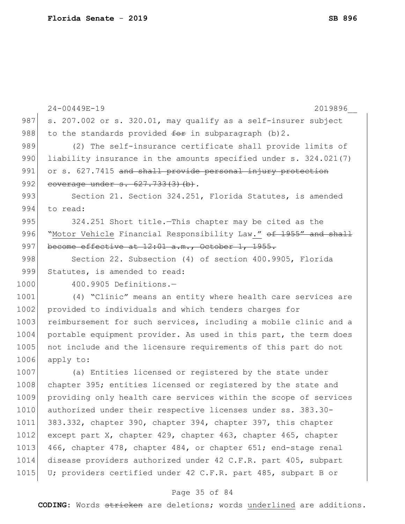|      | $24 - 00449E - 19$<br>2019896                                               |
|------|-----------------------------------------------------------------------------|
| 987  | s. 207.002 or s. 320.01, may qualify as a self-insurer subject              |
| 988  | to the standards provided $f^{\text{def}}$ in subparagraph (b) 2.           |
| 989  | (2) The self-insurance certificate shall provide limits of                  |
| 990  | liability insurance in the amounts specified under s. 324.021(7)            |
| 991  | or s. 627.7415 and shall provide personal injury protection                 |
| 992  | coverage under s. 627.733(3)(b).                                            |
| 993  | Section 21. Section 324.251, Florida Statutes, is amended                   |
| 994  | to read:                                                                    |
| 995  | 324.251 Short title. This chapter may be cited as the                       |
| 996  | "Motor Vehicle Financial Responsibility Law." <del>of 1955" and shall</del> |
| 997  | become effective at $12:01$ a.m., October 1, 1955.                          |
| 998  | Section 22. Subsection (4) of section 400.9905, Florida                     |
| 999  | Statutes, is amended to read:                                               |
| 1000 | 400.9905 Definitions.-                                                      |
| 1001 | (4) "Clinic" means an entity where health care services are                 |
| 1002 | provided to individuals and which tenders charges for                       |
| 1003 | reimbursement for such services, including a mobile clinic and a            |
| 1004 | portable equipment provider. As used in this part, the term does            |
| 1005 | not include and the licensure requirements of this part do not              |
| 1006 | apply to:                                                                   |
| 1007 | (a) Entities licensed or registered by the state under                      |
| 1008 | chapter 395; entities licensed or registered by the state and               |
| 1009 | providing only health care services within the scope of services            |
| 1010 | authorized under their respective licenses under ss. 383.30-                |
| 1011 | 383.332, chapter 390, chapter 394, chapter 397, this chapter                |
| 1012 | except part X, chapter 429, chapter 463, chapter 465, chapter               |
| 1013 | 466, chapter 478, chapter 484, or chapter 651; end-stage renal              |
| 1014 | disease providers authorized under 42 C.F.R. part 405, subpart              |
| 1015 | U; providers certified under 42 C.F.R. part 485, subpart B or               |
|      |                                                                             |

## Page 35 of 84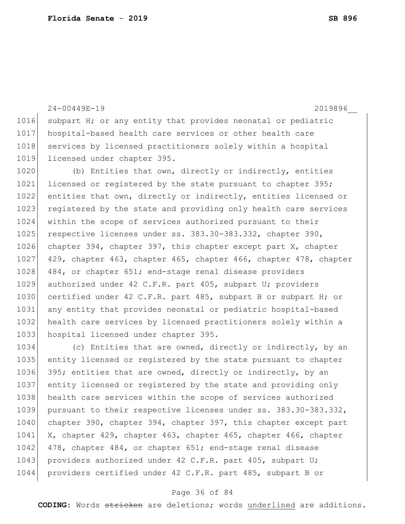24-00449E-19 2019896\_\_ 1016 subpart H; or any entity that provides neonatal or pediatric 1017 hospital-based health care services or other health care 1018 services by licensed practitioners solely within a hospital 1019 licensed under chapter 395. 1020 (b) Entities that own, directly or indirectly, entities 1021 licensed or registered by the state pursuant to chapter 395; 1022 entities that own, directly or indirectly, entities licensed or 1023 registered by the state and providing only health care services 1024 within the scope of services authorized pursuant to their 1025 respective licenses under ss. 383.30-383.332, chapter 390, 1026 chapter 394, chapter 397, this chapter except part X, chapter 1027 429, chapter 463, chapter 465, chapter 466, chapter 478, chapter 1028 484, or chapter 651; end-stage renal disease providers 1029 authorized under 42 C.F.R. part 405, subpart U; providers 1030 certified under 42 C.F.R. part 485, subpart B or subpart H; or 1031 any entity that provides neonatal or pediatric hospital-based 1032 health care services by licensed practitioners solely within a 1033 hospital licensed under chapter 395.

1034 (c) Entities that are owned, directly or indirectly, by an 1035 entity licensed or registered by the state pursuant to chapter 1036 395; entities that are owned, directly or indirectly, by an 1037 entity licensed or registered by the state and providing only 1038 health care services within the scope of services authorized 1039 pursuant to their respective licenses under ss. 383.30-383.332, 1040 chapter 390, chapter 394, chapter 397, this chapter except part 1041 X, chapter 429, chapter 463, chapter 465, chapter 466, chapter 1042 478, chapter 484, or chapter 651; end-stage renal disease 1043 providers authorized under 42 C.F.R. part 405, subpart U; 1044 providers certified under 42 C.F.R. part 485, subpart B or

## Page 36 of 84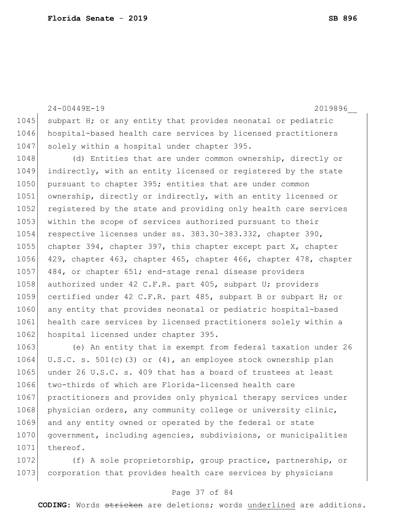24-00449E-19 2019896\_\_ 1045 subpart H; or any entity that provides neonatal or pediatric 1046 hospital-based health care services by licensed practitioners 1047 solely within a hospital under chapter 395. 1048 (d) Entities that are under common ownership, directly or 1049 indirectly, with an entity licensed or registered by the state 1050 pursuant to chapter 395; entities that are under common 1051 ownership, directly or indirectly, with an entity licensed or 1052 registered by the state and providing only health care services 1053 within the scope of services authorized pursuant to their 1054 respective licenses under ss. 383.30-383.332, chapter 390, 1055 chapter 394, chapter 397, this chapter except part X, chapter 1056 429, chapter 463, chapter 465, chapter 466, chapter 478, chapter 1057 484, or chapter 651; end-stage renal disease providers 1058 authorized under 42 C.F.R. part 405, subpart U; providers 1059 certified under 42 C.F.R. part 485, subpart B or subpart H; or 1060 any entity that provides neonatal or pediatric hospital-based 1061 health care services by licensed practitioners solely within a 1062 hospital licensed under chapter 395. 1063 (e) An entity that is exempt from federal taxation under 26

1064 U.S.C. s. 501(c)(3) or (4), an employee stock ownership plan 1065 under 26 U.S.C. s. 409 that has a board of trustees at least 1066 two-thirds of which are Florida-licensed health care 1067 practitioners and provides only physical therapy services under 1068 physician orders, any community college or university clinic, 1069 and any entity owned or operated by the federal or state 1070 government, including agencies, subdivisions, or municipalities 1071 thereof.

1072 (f) A sole proprietorship, group practice, partnership, or 1073 corporation that provides health care services by physicians

#### Page 37 of 84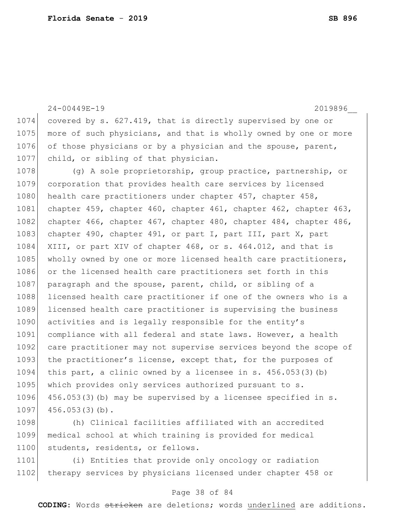24-00449E-19 2019896\_\_ 1074 covered by s. 627.419, that is directly supervised by one or 1075 more of such physicians, and that is wholly owned by one or more 1076 of those physicians or by a physician and the spouse, parent, 1077 child, or sibling of that physician. 1078 (g) A sole proprietorship, group practice, partnership, or 1079 corporation that provides health care services by licensed 1080 health care practitioners under chapter 457, chapter 458, 1081 chapter 459, chapter 460, chapter 461, chapter 462, chapter 463, 1082 chapter 466, chapter 467, chapter 480, chapter 484, chapter 486, 1083 chapter 490, chapter 491, or part I, part III, part X, part 1084 XIII, or part XIV of chapter 468, or s. 464.012, and that is 1085 wholly owned by one or more licensed health care practitioners, 1086 or the licensed health care practitioners set forth in this 1087 paragraph and the spouse, parent, child, or sibling of a 1088 licensed health care practitioner if one of the owners who is a 1089 licensed health care practitioner is supervising the business 1090 activities and is legally responsible for the entity's 1091 compliance with all federal and state laws. However, a health 1092| care practitioner may not supervise services beyond the scope of 1093 the practitioner's license, except that, for the purposes of 1094 this part, a clinic owned by a licensee in s. 456.053(3)(b) 1095 which provides only services authorized pursuant to s. 1096 456.053(3)(b) may be supervised by a licensee specified in s.  $1097$  456.053(3)(b).

1098 (h) Clinical facilities affiliated with an accredited 1099 medical school at which training is provided for medical 1100 students, residents, or fellows.

1101 (i) Entities that provide only oncology or radiation 1102 therapy services by physicians licensed under chapter 458 or

#### Page 38 of 84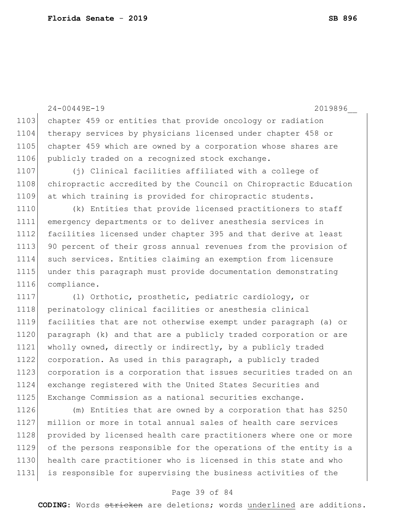24-00449E-19 2019896\_\_ 1103 chapter 459 or entities that provide oncology or radiation 1104 therapy services by physicians licensed under chapter 458 or 1105 chapter 459 which are owned by a corporation whose shares are 1106 publicly traded on a recognized stock exchange. 1107 (i) Clinical facilities affiliated with a college of 1108 chiropractic accredited by the Council on Chiropractic Education at which training is provided for chiropractic students. (k) Entities that provide licensed practitioners to staff emergency departments or to deliver anesthesia services in facilities licensed under chapter 395 and that derive at least 1113 90 percent of their gross annual revenues from the provision of such services. Entities claiming an exemption from licensure under this paragraph must provide documentation demonstrating compliance. (l) Orthotic, prosthetic, pediatric cardiology, or 1118 perinatology clinical facilities or anesthesia clinical facilities that are not otherwise exempt under paragraph (a) or paragraph (k) and that are a publicly traded corporation or are wholly owned, directly or indirectly, by a publicly traded corporation. As used in this paragraph, a publicly traded corporation is a corporation that issues securities traded on an exchange registered with the United States Securities and Exchange Commission as a national securities exchange. (m) Entities that are owned by a corporation that has \$250

1127 million or more in total annual sales of health care services 1128 provided by licensed health care practitioners where one or more 1129 of the persons responsible for the operations of the entity is a 1130 health care practitioner who is licensed in this state and who 1131 is responsible for supervising the business activities of the

#### Page 39 of 84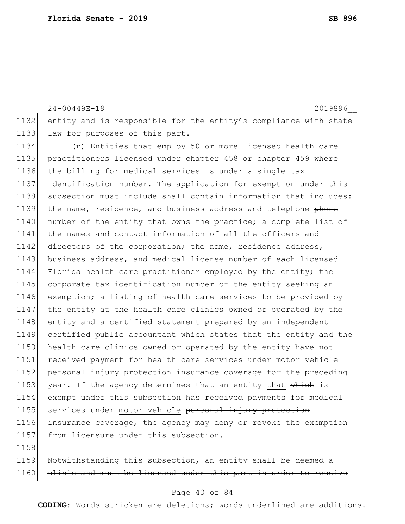24-00449E-19 2019896\_\_ 1132 entity and is responsible for the entity's compliance with state 1133 law for purposes of this part.

1134 (n) Entities that employ 50 or more licensed health care 1135 practitioners licensed under chapter 458 or chapter 459 where 1136 the billing for medical services is under a single tax 1137 identification number. The application for exemption under this 1138 subsection must include shall contain information that includes: 1139 the name, residence, and business address and telephone phone 1140 number of the entity that owns the practice; a complete list of 1141 the names and contact information of all the officers and 1142 directors of the corporation; the name, residence address, 1143 business address, and medical license number of each licensed 1144 Florida health care practitioner employed by the entity; the 1145 corporate tax identification number of the entity seeking an 1146 exemption; a listing of health care services to be provided by 1147 the entity at the health care clinics owned or operated by the 1148 entity and a certified statement prepared by an independent 1149 certified public accountant which states that the entity and the 1150 health care clinics owned or operated by the entity have not 1151 received payment for health care services under motor vehicle 1152 personal injury protection insurance coverage for the preceding 1153 year. If the agency determines that an entity that which is 1154 exempt under this subsection has received payments for medical 1155 services under motor vehicle personal injury protection 1156 insurance coverage, the agency may deny or revoke the exemption 1157 from licensure under this subsection. 1158

1159 Notwithstanding this subsection, an entity shall be deemed a 1160 clinic and must be licensed under this part in order

#### Page 40 of 84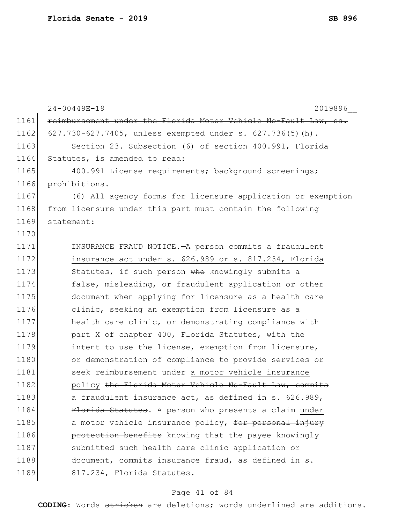|      | $24 - 00449E - 19$<br>2019896                                   |
|------|-----------------------------------------------------------------|
| 1161 | reimbursement under the Florida Motor Vehicle No-Fault Law, ss. |
| 1162 | 627.730-627.7405, unless exempted under s. 627.736(5)(h).       |
| 1163 | Section 23. Subsection (6) of section 400.991, Florida          |
| 1164 | Statutes, is amended to read:                                   |
| 1165 | 400.991 License requirements; background screenings;            |
| 1166 | prohibitions.-                                                  |
| 1167 | (6) All agency forms for licensure application or exemption     |
| 1168 | from licensure under this part must contain the following       |
| 1169 | statement:                                                      |
| 1170 |                                                                 |
| 1171 | INSURANCE FRAUD NOTICE. - A person commits a fraudulent         |
| 1172 | insurance act under s. 626.989 or s. 817.234, Florida           |
| 1173 | Statutes, if such person who knowingly submits a                |
| 1174 | false, misleading, or fraudulent application or other           |
| 1175 | document when applying for licensure as a health care           |
| 1176 | clinic, seeking an exemption from licensure as a                |
| 1177 | health care clinic, or demonstrating compliance with            |
| 1178 | part X of chapter 400, Florida Statutes, with the               |
| 1179 | intent to use the license, exemption from licensure,            |
| 1180 | or demonstration of compliance to provide services or           |
| 1181 | seek reimbursement under a motor vehicle insurance              |
| 1182 | policy the Florida Motor Vehicle No-Fault Law, commits          |
| 1183 | a fraudulent insurance act, as defined in s. 626.989,           |
| 1184 | Florida Statutes. A person who presents a claim under           |
| 1185 | a motor vehicle insurance policy, for personal injury           |
| 1186 | protection benefits knowing that the payee knowingly            |
| 1187 | submitted such health care clinic application or                |
| 1188 | document, commits insurance fraud, as defined in s.             |
| 1189 | 817.234, Florida Statutes.                                      |
|      |                                                                 |

# Page 41 of 84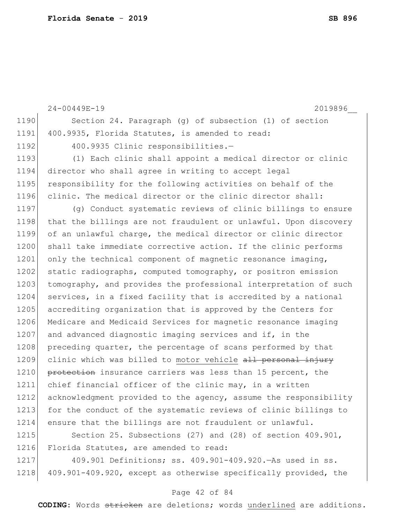24-00449E-19 2019896\_\_ 1190 Section 24. Paragraph (g) of subsection (1) of section 1191 400.9935, Florida Statutes, is amended to read: 1192 400.9935 Clinic responsibilities.-1193 (1) Each clinic shall appoint a medical director or clinic 1194 director who shall agree in writing to accept legal 1195 responsibility for the following activities on behalf of the 1196 clinic. The medical director or the clinic director shall: 1197 (g) Conduct systematic reviews of clinic billings to ensure 1198 that the billings are not fraudulent or unlawful. Upon discovery 1199 of an unlawful charge, the medical director or clinic director 1200 shall take immediate corrective action. If the clinic performs 1201 only the technical component of magnetic resonance imaging, 1202 static radiographs, computed tomography, or positron emission 1203 tomography, and provides the professional interpretation of such 1204 services, in a fixed facility that is accredited by a national 1205 accrediting organization that is approved by the Centers for 1206 Medicare and Medicaid Services for magnetic resonance imaging 1207 and advanced diagnostic imaging services and if, in the 1208 preceding quarter, the percentage of scans performed by that 1209 clinic which was billed to motor vehicle all personal injury 1210 protection insurance carriers was less than 15 percent, the 1211 chief financial officer of the clinic may, in a written 1212 acknowledgment provided to the agency, assume the responsibility 1213 for the conduct of the systematic reviews of clinic billings to 1214 ensure that the billings are not fraudulent or unlawful. 1215 Section 25. Subsections (27) and (28) of section 409.901, 1216 Florida Statutes, are amended to read:

1217 409.901 Definitions; ss. 409.901-409.920.—As used in ss. 1218 409.901-409.920, except as otherwise specifically provided, the

#### Page 42 of 84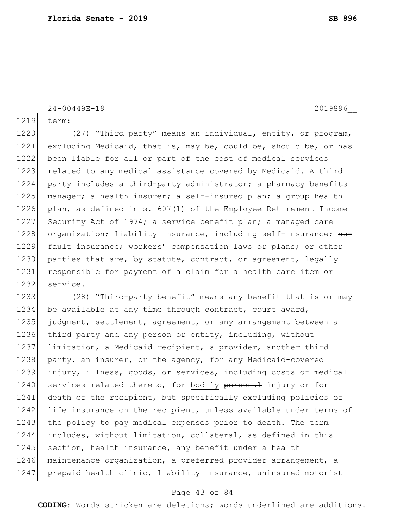24-00449E-19 2019896\_\_

1219 term:

1220 (27) "Third party" means an individual, entity, or program, 1221 excluding Medicaid, that is, may be, could be, should be, or has 1222 been liable for all or part of the cost of medical services 1223 related to any medical assistance covered by Medicaid. A third 1224 party includes a third-party administrator; a pharmacy benefits 1225 manager; a health insurer; a self-insured plan; a group health 1226 plan, as defined in s. 607(1) of the Employee Retirement Income 1227 Security Act of 1974; a service benefit plan; a managed care 1228 organization; liability insurance, including self-insurance; no-1229 fault insurance; workers' compensation laws or plans; or other 1230 parties that are, by statute, contract, or agreement, legally 1231 responsible for payment of a claim for a health care item or 1232 service.

1233 (28) "Third-party benefit" means any benefit that is or may 1234 be available at any time through contract, court award, 1235 judgment, settlement, agreement, or any arrangement between a 1236 third party and any person or entity, including, without 1237 limitation, a Medicaid recipient, a provider, another third 1238 party, an insurer, or the agency, for any Medicaid-covered 1239 injury, illness, goods, or services, including costs of medical 1240 services related thereto, for bodily personal injury or for 1241 death of the recipient, but specifically excluding policies of 1242 life insurance on the recipient, unless available under terms of 1243 the policy to pay medical expenses prior to death. The term 1244 includes, without limitation, collateral, as defined in this 1245 section, health insurance, any benefit under a health 1246 maintenance organization, a preferred provider arrangement, a 1247 prepaid health clinic, liability insurance, uninsured motorist

#### Page 43 of 84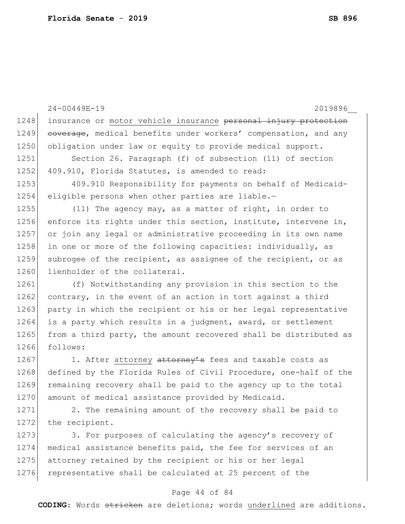24-00449E-19 2019896\_\_ 1248 insurance or motor vehicle insurance personal injury protection 1249 coverage, medical benefits under workers' compensation, and any 1250 obligation under law or equity to provide medical support. 1251 Section 26. Paragraph (f) of subsection (11) of section 1252 409.910, Florida Statutes, is amended to read: 1253 409.910 Responsibility for payments on behalf of Medicaid-1254 eligible persons when other parties are liable.-1255 (11) The agency may, as a matter of right, in order to 1256 enforce its rights under this section, institute, intervene in, 1257 or join any legal or administrative proceeding in its own name 1258 in one or more of the following capacities: individually, as 1259 subrogee of the recipient, as assignee of the recipient, or as 1260 lienholder of the collateral. 1261 (f) Notwithstanding any provision in this section to the 1262 contrary, in the event of an action in tort against a third 1263 party in which the recipient or his or her legal representative 1264 is a party which results in a judgment, award, or settlement 1265 from a third party, the amount recovered shall be distributed as 1266 follows: 1267 1. After attorney attorney's fees and taxable costs as 1268 defined by the Florida Rules of Civil Procedure, one-half of the 1269 remaining recovery shall be paid to the agency up to the total 1270 amount of medical assistance provided by Medicaid. 1271 2. The remaining amount of the recovery shall be paid to 1272 the recipient. 1273 3. For purposes of calculating the agency's recovery of 1274 medical assistance benefits paid, the fee for services of an 1275 attorney retained by the recipient or his or her legal 1276 representative shall be calculated at 25 percent of the

#### Page 44 of 84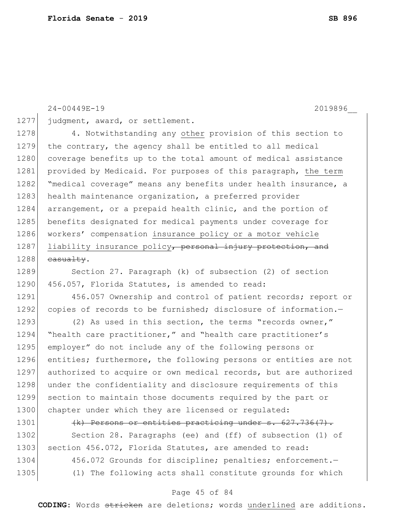24-00449E-19 2019896\_\_

1277 judgment, award, or settlement.

1278 4. Notwithstanding any other provision of this section to 1279 the contrary, the agency shall be entitled to all medical 1280 coverage benefits up to the total amount of medical assistance 1281 provided by Medicaid. For purposes of this paragraph, the term 1282 "medical coverage" means any benefits under health insurance, a 1283 health maintenance organization, a preferred provider 1284 arrangement, or a prepaid health clinic, and the portion of 1285 benefits designated for medical payments under coverage for 1286 workers' compensation insurance policy or a motor vehicle 1287 liability insurance policy, personal injury protection, and  $1288$  casualty.

1289 Section 27. Paragraph (k) of subsection (2) of section 1290 456.057, Florida Statutes, is amended to read:

1291 456.057 Ownership and control of patient records; report or 1292 copies of records to be furnished; disclosure of information.-

1293 (2) As used in this section, the terms "records owner," 1294 "health care practitioner," and "health care practitioner's 1295 employer" do not include any of the following persons or 1296 entities; furthermore, the following persons or entities are not 1297 authorized to acquire or own medical records, but are authorized 1298 under the confidentiality and disclosure requirements of this 1299 section to maintain those documents required by the part or 1300 chapter under which they are licensed or regulated:

1301 (k) Persons or entities practicing under s. 627.736(7).

1302 Section 28. Paragraphs (ee) and (ff) of subsection (1) of 1303 section 456.072, Florida Statutes, are amended to read:

1304 456.072 Grounds for discipline; penalties; enforcement. 1305 (1) The following acts shall constitute grounds for which

#### Page 45 of 84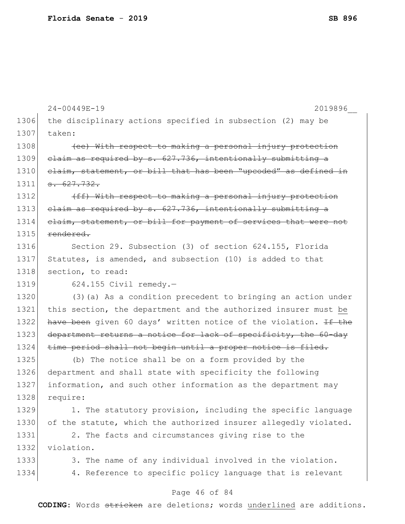|      | 24-00449E-19<br>2019896                                          |
|------|------------------------------------------------------------------|
| 1306 | the disciplinary actions specified in subsection (2) may be      |
| 1307 | taken:                                                           |
| 1308 | (ee) With respect to making a personal injury protection         |
| 1309 | elaim as required by s. 627.736, intentionally submitting a      |
| 1310 | elaim, statement, or bill that has been "upcoded" as defined in  |
| 1311 | $-627.732.$                                                      |
| 1312 | (ff) With respect to making a personal injury protection         |
| 1313 | elaim as required by s. 627.736, intentionally submitting a      |
| 1314 | elaim, statement, or bill for payment of services that were not  |
| 1315 | rendered.                                                        |
| 1316 | Section 29. Subsection (3) of section 624.155, Florida           |
| 1317 | Statutes, is amended, and subsection (10) is added to that       |
| 1318 | section, to read:                                                |
| 1319 | $624.155$ Civil remedy.-                                         |
| 1320 | (3) (a) As a condition precedent to bringing an action under     |
| 1321 | this section, the department and the authorized insurer must be  |
| 1322 | have been given 60 days' written notice of the violation. If the |
| 1323 | department returns a notice for lack of specificity, the 60-day  |
| 1324 | time period shall not begin until a proper notice is filed.      |
| 1325 | (b) The notice shall be on a form provided by the                |
| 1326 | department and shall state with specificity the following        |
| 1327 | information, and such other information as the department may    |
| 1328 | require:                                                         |
| 1329 | 1. The statutory provision, including the specific language      |
| 1330 | of the statute, which the authorized insurer allegedly violated. |
| 1331 | 2. The facts and circumstances giving rise to the                |
| 1332 | violation.                                                       |
| 1333 | 3. The name of any individual involved in the violation.         |
| 1334 | 4. Reference to specific policy language that is relevant        |
|      | Page 46 of 84                                                    |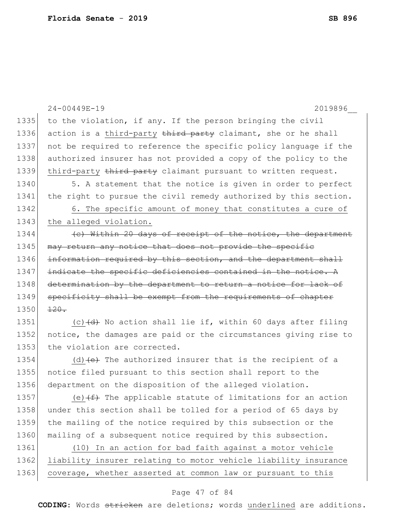|      | 24-00449E-19<br>2019896                                                  |
|------|--------------------------------------------------------------------------|
| 1335 | to the violation, if any. If the person bringing the civil               |
| 1336 | action is a third-party third party claimant, she or he shall            |
| 1337 | not be required to reference the specific policy language if the         |
| 1338 | authorized insurer has not provided a copy of the policy to the          |
| 1339 | third-party third party claimant pursuant to written request.            |
| 1340 | 5. A statement that the notice is given in order to perfect              |
| 1341 | the right to pursue the civil remedy authorized by this section.         |
| 1342 | 6. The specific amount of money that constitutes a cure of               |
| 1343 | the alleged violation.                                                   |
| 1344 | (e) Within 20 days of receipt of the notice, the department              |
| 1345 | may return any notice that does not provide the specific                 |
| 1346 | information required by this section, and the department shall           |
| 1347 | indicate the specific deficiencies contained in the notice. $A$          |
| 1348 | determination by the department to return a notice for lack of           |
| 1349 | specificity shall be exempt from the requirements of chapter             |
| 1350 | $120 -$                                                                  |
| 1351 | (c) $\overline{(d)}$ No action shall lie if, within 60 days after filing |
| 1352 | notice, the damages are paid or the circumstances giving rise to         |
| 1353 | the violation are corrected.                                             |
| 1354 | (d) $(e)$ The authorized insurer that is the recipient of a              |
| 1355 | notice filed pursuant to this section shall report to the                |
| 1356 | department on the disposition of the alleged violation.                  |
| 1357 | (e) $(f)$ The applicable statute of limitations for an action            |
| 1358 | under this section shall be tolled for a period of 65 days by            |
| 1359 | the mailing of the notice required by this subsection or the             |
| 1360 | mailing of a subsequent notice required by this subsection.              |
| 1361 | (10) In an action for bad faith against a motor vehicle                  |
| 1362 | liability insurer relating to motor vehicle liability insurance          |
| 1363 | coverage, whether asserted at common law or pursuant to this             |
|      |                                                                          |

### Page 47 of 84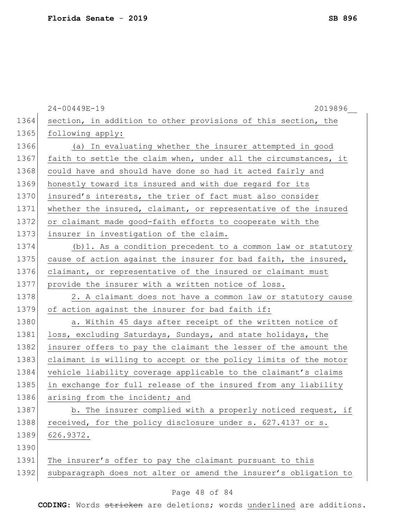|      | 2019896<br>24-00449E-19                                          |
|------|------------------------------------------------------------------|
| 1364 | section, in addition to other provisions of this section, the    |
| 1365 | following apply:                                                 |
| 1366 | (a) In evaluating whether the insurer attempted in good          |
| 1367 | faith to settle the claim when, under all the circumstances, it  |
| 1368 | could have and should have done so had it acted fairly and       |
| 1369 | honestly toward its insured and with due regard for its          |
| 1370 | insured's interests, the trier of fact must also consider        |
| 1371 | whether the insured, claimant, or representative of the insured  |
| 1372 | or claimant made good-faith efforts to cooperate with the        |
| 1373 | insurer in investigation of the claim.                           |
| 1374 | (b) 1. As a condition precedent to a common law or statutory     |
| 1375 | cause of action against the insurer for bad faith, the insured,  |
| 1376 | claimant, or representative of the insured or claimant must      |
| 1377 | provide the insurer with a written notice of loss.               |
| 1378 | 2. A claimant does not have a common law or statutory cause      |
| 1379 | of action against the insurer for bad faith if:                  |
| 1380 | a. Within 45 days after receipt of the written notice of         |
| 1381 | loss, excluding Saturdays, Sundays, and state holidays, the      |
| 1382 | insurer offers to pay the claimant the lesser of the amount the  |
| 1383 | claimant is willing to accept or the policy limits of the motor  |
| 1384 | vehicle liability coverage applicable to the claimant's claims   |
| 1385 | in exchange for full release of the insured from any liability   |
| 1386 | arising from the incident; and                                   |
| 1387 | b. The insurer complied with a properly noticed request, if      |
| 1388 | received, for the policy disclosure under s. 627.4137 or s.      |
| 1389 | 626.9372.                                                        |
| 1390 |                                                                  |
| 1391 | The insurer's offer to pay the claimant pursuant to this         |
| 1392 | subparagraph does not alter or amend the insurer's obligation to |
|      |                                                                  |

### Page 48 of 84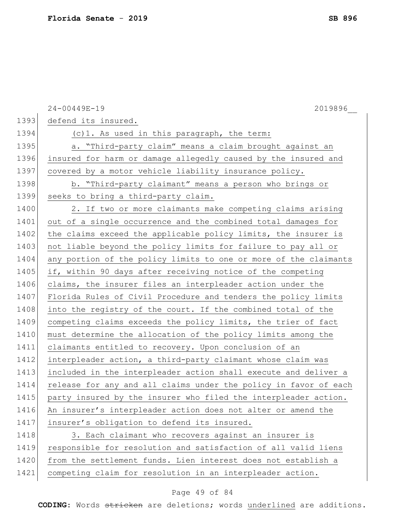|      | 24-00449E-19<br>2019896                                          |
|------|------------------------------------------------------------------|
| 1393 | defend its insured.                                              |
| 1394 | (c) 1. As used in this paragraph, the term:                      |
| 1395 | a. "Third-party claim" means a claim brought against an          |
| 1396 | insured for harm or damage allegedly caused by the insured and   |
| 1397 | covered by a motor vehicle liability insurance policy.           |
| 1398 | b. "Third-party claimant" means a person who brings or           |
| 1399 | seeks to bring a third-party claim.                              |
| 1400 | 2. If two or more claimants make competing claims arising        |
| 1401 | out of a single occurrence and the combined total damages for    |
| 1402 | the claims exceed the applicable policy limits, the insurer is   |
| 1403 | not liable beyond the policy limits for failure to pay all or    |
| 1404 | any portion of the policy limits to one or more of the claimants |
| 1405 | if, within 90 days after receiving notice of the competing       |
| 1406 | claims, the insurer files an interpleader action under the       |
| 1407 | Florida Rules of Civil Procedure and tenders the policy limits   |
| 1408 | into the registry of the court. If the combined total of the     |
| 1409 | competing claims exceeds the policy limits, the trier of fact    |
| 1410 | must determine the allocation of the policy limits among the     |
| 1411 | claimants entitled to recovery. Upon conclusion of an            |
| 1412 | interpleader action, a third-party claimant whose claim was      |
| 1413 | included in the interpleader action shall execute and deliver a  |
| 1414 | release for any and all claims under the policy in favor of each |
| 1415 | party insured by the insurer who filed the interpleader action.  |
| 1416 | An insurer's interpleader action does not alter or amend the     |
| 1417 | insurer's obligation to defend its insured.                      |
| 1418 | 3. Each claimant who recovers against an insurer is              |
| 1419 | responsible for resolution and satisfaction of all valid liens   |
| 1420 | from the settlement funds. Lien interest does not establish a    |
| 1421 | competing claim for resolution in an interpleader action.        |

# Page 49 of 84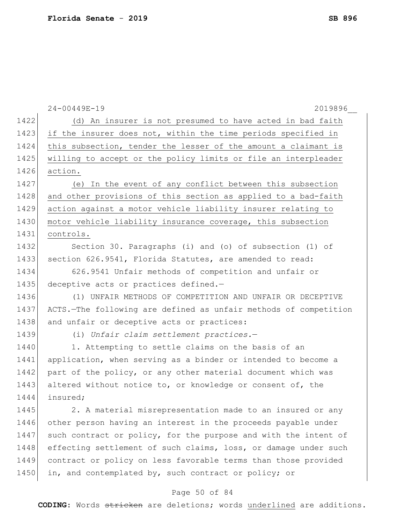|      | 24-00449E-19<br>2019896                                          |
|------|------------------------------------------------------------------|
| 1422 | (d) An insurer is not presumed to have acted in bad faith        |
| 1423 | if the insurer does not, within the time periods specified in    |
| 1424 | this subsection, tender the lesser of the amount a claimant is   |
| 1425 | willing to accept or the policy limits or file an interpleader   |
| 1426 | action.                                                          |
| 1427 | (e) In the event of any conflict between this subsection         |
| 1428 | and other provisions of this section as applied to a bad-faith   |
| 1429 | action against a motor vehicle liability insurer relating to     |
| 1430 | motor vehicle liability insurance coverage, this subsection      |
| 1431 | controls.                                                        |
| 1432 | Section 30. Paragraphs (i) and (o) of subsection (1) of          |
| 1433 | section 626.9541, Florida Statutes, are amended to read:         |
| 1434 | 626.9541 Unfair methods of competition and unfair or             |
| 1435 | deceptive acts or practices defined.-                            |
| 1436 | (1) UNFAIR METHODS OF COMPETITION AND UNFAIR OR DECEPTIVE        |
| 1437 | ACTS.-The following are defined as unfair methods of competition |
| 1438 | and unfair or deceptive acts or practices:                       |
| 1439 | (i) Unfair claim settlement practices.-                          |
| 1440 | 1. Attempting to settle claims on the basis of an                |
| 1441 | application, when serving as a binder or intended to become a    |
| 1442 | part of the policy, or any other material document which was     |
| 1443 | altered without notice to, or knowledge or consent of, the       |
| 1444 | insured;                                                         |
| 1445 | 2. A material misrepresentation made to an insured or any        |
| 1446 | other person having an interest in the proceeds payable under    |
| 1447 | such contract or policy, for the purpose and with the intent of  |
| 1448 | effecting settlement of such claims, loss, or damage under such  |
| 1449 | contract or policy on less favorable terms than those provided   |
| 1450 | in, and contemplated by, such contract or policy; or             |
|      | Page 50 of 84                                                    |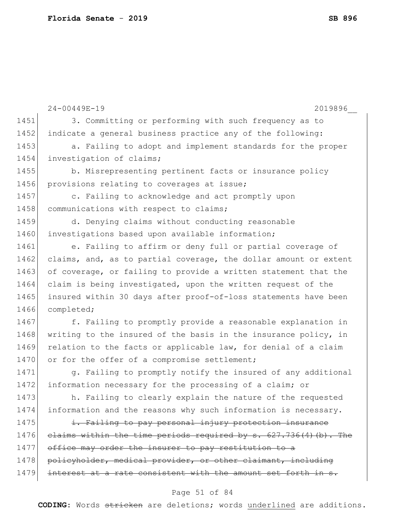|      | $24 - 00449E - 19$<br>2019896                                     |
|------|-------------------------------------------------------------------|
| 1451 | 3. Committing or performing with such frequency as to             |
| 1452 | indicate a general business practice any of the following:        |
| 1453 | a. Failing to adopt and implement standards for the proper        |
| 1454 | investigation of claims;                                          |
| 1455 | b. Misrepresenting pertinent facts or insurance policy            |
| 1456 | provisions relating to coverages at issue;                        |
| 1457 | c. Failing to acknowledge and act promptly upon                   |
| 1458 | communications with respect to claims;                            |
| 1459 | d. Denying claims without conducting reasonable                   |
| 1460 | investigations based upon available information;                  |
| 1461 | e. Failing to affirm or deny full or partial coverage of          |
| 1462 | claims, and, as to partial coverage, the dollar amount or extent  |
| 1463 | of coverage, or failing to provide a written statement that the   |
| 1464 | claim is being investigated, upon the written request of the      |
| 1465 | insured within 30 days after proof-of-loss statements have been   |
| 1466 | completed;                                                        |
| 1467 | f. Failing to promptly provide a reasonable explanation in        |
| 1468 | writing to the insured of the basis in the insurance policy, in   |
| 1469 | relation to the facts or applicable law, for denial of a claim    |
| 1470 | or for the offer of a compromise settlement;                      |
| 1471 | g. Failing to promptly notify the insured of any additional       |
| 1472 | information necessary for the processing of a claim; or           |
| 1473 | h. Failing to clearly explain the nature of the requested         |
| 1474 | information and the reasons why such information is necessary.    |
| 1475 | i. Failing to pay personal injury protection insurance            |
| 1476 | elaims within the time periods required by s. 627.736(4) (b). The |
| 1477 | office may order the insurer to pay restitution to a              |
| 1478 | policyholder, medical provider, or other claimant, including      |
| 1479 | interest at a rate consistent with the amount set forth in s.     |
|      |                                                                   |

# Page 51 of 84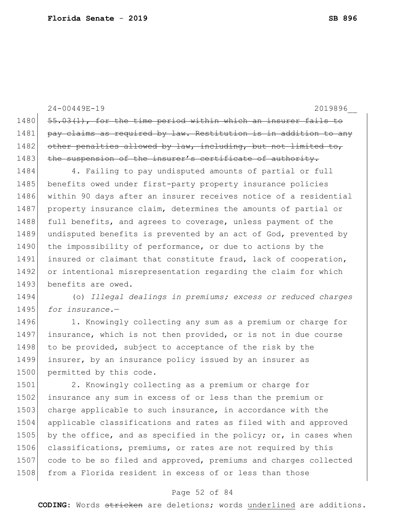24-00449E-19 2019896\_\_ 1480 55.03(1), for the time period within which an insurer fails to 1481 pay claims as required by law. Restitution is in addition to any 1482 other penalties allowed by law, including, but not limited to, 1483 the suspension of the insurer's certificate of authority. 1484 4. Failing to pay undisputed amounts of partial or full 1485 benefits owed under first-party property insurance policies 1486 within 90 days after an insurer receives notice of a residential 1487 property insurance claim, determines the amounts of partial or 1488 full benefits, and agrees to coverage, unless payment of the 1489 undisputed benefits is prevented by an act of God, prevented by 1490 the impossibility of performance, or due to actions by the 1491 insured or claimant that constitute fraud, lack of cooperation, 1492 or intentional misrepresentation regarding the claim for which 1493 benefits are owed. 1494 (o) *Illegal dealings in premiums; excess or reduced charges*  1495 *for insurance.*—

1496 1. Knowingly collecting any sum as a premium or charge for 1497 insurance, which is not then provided, or is not in due course 1498 to be provided, subject to acceptance of the risk by the 1499 insurer, by an insurance policy issued by an insurer as 1500 permitted by this code.

1501 2. Knowingly collecting as a premium or charge for 1502 insurance any sum in excess of or less than the premium or 1503 charge applicable to such insurance, in accordance with the 1504 applicable classifications and rates as filed with and approved 1505 by the office, and as specified in the policy; or, in cases when 1506 classifications, premiums, or rates are not required by this 1507 code to be so filed and approved, premiums and charges collected 1508 from a Florida resident in excess of or less than those

#### Page 52 of 84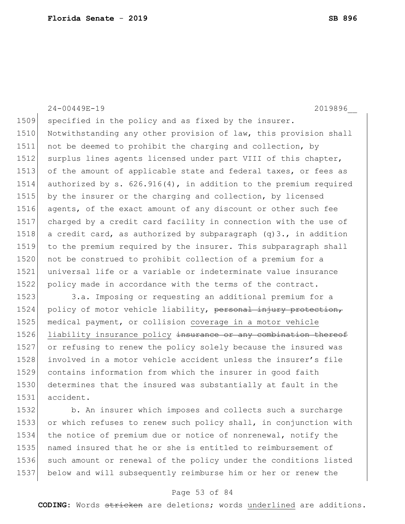1509 specified in the policy and as fixed by the insurer. 1510 Notwithstanding any other provision of law, this provision shall 1511 not be deemed to prohibit the charging and collection, by 1512 surplus lines agents licensed under part VIII of this chapter, 1513 of the amount of applicable state and federal taxes, or fees as 1514 authorized by s. 626.916(4), in addition to the premium required 1515 by the insurer or the charging and collection, by licensed 1516 agents, of the exact amount of any discount or other such fee 1517 charged by a credit card facility in connection with the use of 1518 a credit card, as authorized by subparagraph  $(q)3$ ., in addition 1519 to the premium required by the insurer. This subparagraph shall 1520 not be construed to prohibit collection of a premium for a 1521 universal life or a variable or indeterminate value insurance 1522 policy made in accordance with the terms of the contract. 1523 3.a. Imposing or requesting an additional premium for a

24-00449E-19 2019896\_\_

1524 policy of motor vehicle liability, personal injury protection, medical payment, or collision coverage in a motor vehicle 1526 liability insurance policy insurance or any combination thereof or refusing to renew the policy solely because the insured was involved in a motor vehicle accident unless the insurer's file contains information from which the insurer in good faith determines that the insured was substantially at fault in the accident.

 b. An insurer which imposes and collects such a surcharge or which refuses to renew such policy shall, in conjunction with the notice of premium due or notice of nonrenewal, notify the named insured that he or she is entitled to reimbursement of such amount or renewal of the policy under the conditions listed below and will subsequently reimburse him or her or renew the

#### Page 53 of 84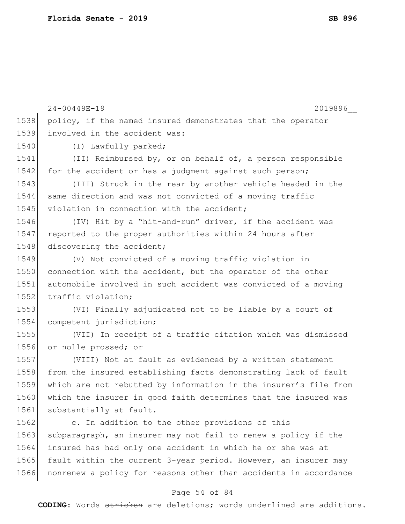|      | 24-00449E-19<br>2019896                                          |
|------|------------------------------------------------------------------|
| 1538 | policy, if the named insured demonstrates that the operator      |
| 1539 | involved in the accident was:                                    |
| 1540 | (I) Lawfully parked;                                             |
| 1541 | (II) Reimbursed by, or on behalf of, a person responsible        |
| 1542 | for the accident or has a judgment against such person;          |
| 1543 | (III) Struck in the rear by another vehicle headed in the        |
| 1544 | same direction and was not convicted of a moving traffic         |
| 1545 | violation in connection with the accident;                       |
| 1546 | (IV) Hit by a "hit-and-run" driver, if the accident was          |
| 1547 | reported to the proper authorities within 24 hours after         |
| 1548 | discovering the accident;                                        |
| 1549 | (V) Not convicted of a moving traffic violation in               |
| 1550 | connection with the accident, but the operator of the other      |
| 1551 | automobile involved in such accident was convicted of a moving   |
| 1552 | traffic violation;                                               |
| 1553 | (VI) Finally adjudicated not to be liable by a court of          |
| 1554 | competent jurisdiction;                                          |
| 1555 | (VII) In receipt of a traffic citation which was dismissed       |
| 1556 | or nolle prossed; or                                             |
| 1557 | (VIII) Not at fault as evidenced by a written statement          |
| 1558 | from the insured establishing facts demonstrating lack of fault  |
| 1559 | which are not rebutted by information in the insurer's file from |
| 1560 | which the insurer in good faith determines that the insured was  |
| 1561 | substantially at fault.                                          |
| 1562 | c. In addition to the other provisions of this                   |
| 1563 | subparagraph, an insurer may not fail to renew a policy if the   |
| 1564 | insured has had only one accident in which he or she was at      |
| 1565 | fault within the current 3-year period. However, an insurer may  |
| 1566 | nonrenew a policy for reasons other than accidents in accordance |

# Page 54 of 84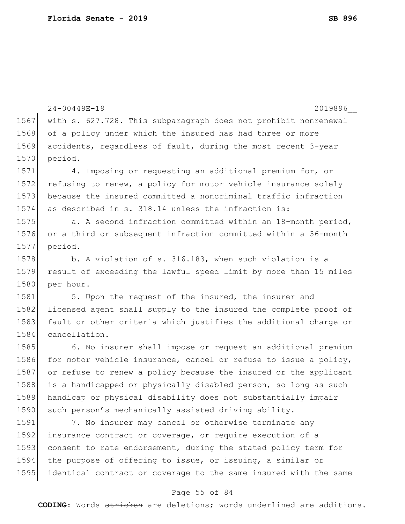```
24-00449E-19 2019896__
                               Page 55 of 84
1567 with s. 627.728. This subparagraph does not prohibit nonrenewal
1568 of a policy under which the insured has had three or more
1569 accidents, regardless of fault, during the most recent 3-year 
1570 period.
1571 4. Imposing or requesting an additional premium for, or
1572 refusing to renew, a policy for motor vehicle insurance solely
1573 because the insured committed a noncriminal traffic infraction 
1574 as described in s. 318.14 unless the infraction is:
1575 a. A second infraction committed within an 18-month period,
1576 or a third or subsequent infraction committed within a 36-month 
1577 period.
1578 b. A violation of s. 316.183, when such violation is a
1579 result of exceeding the lawful speed limit by more than 15 miles 
1580 per hour.
1581 5. Upon the request of the insured, the insurer and
1582 licensed agent shall supply to the insured the complete proof of
1583 fault or other criteria which justifies the additional charge or
1584 cancellation.
1585 6. No insurer shall impose or request an additional premium
1586 for motor vehicle insurance, cancel or refuse to issue a policy,
1587 or refuse to renew a policy because the insured or the applicant 
1588 is a handicapped or physically disabled person, so long as such
1589 handicap or physical disability does not substantially impair 
1590 such person's mechanically assisted driving ability.
1591 7. No insurer may cancel or otherwise terminate any
1592 insurance contract or coverage, or require execution of a
1593 consent to rate endorsement, during the stated policy term for
1594 the purpose of offering to issue, or issuing, a similar or 
1595 identical contract or coverage to the same insured with the same
```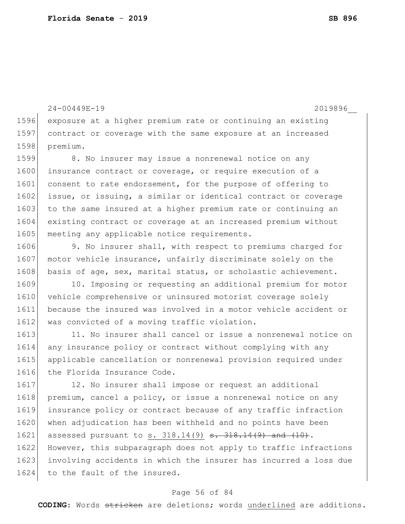1624 to the fault of the insured.

1596 exposure at a higher premium rate or continuing an existing 1597 contract or coverage with the same exposure at an increased 1598 premium. 1599 8. No insurer may issue a nonrenewal notice on any 1600 insurance contract or coverage, or require execution of a 1601 consent to rate endorsement, for the purpose of offering to 1602 issue, or issuing, a similar or identical contract or coverage 1603 to the same insured at a higher premium rate or continuing an 1604 existing contract or coverage at an increased premium without 1605 meeting any applicable notice requirements. 1606 9. No insurer shall, with respect to premiums charged for 1607 motor vehicle insurance, unfairly discriminate solely on the 1608 basis of age, sex, marital status, or scholastic achievement. 1609 10. Imposing or requesting an additional premium for motor 1610 vehicle comprehensive or uninsured motorist coverage solely 1611 because the insured was involved in a motor vehicle accident or 1612 was convicted of a moving traffic violation. 1613 11. No insurer shall cancel or issue a nonrenewal notice on 1614 any insurance policy or contract without complying with any 1615 applicable cancellation or nonrenewal provision required under 1616 the Florida Insurance Code. 1617 12. No insurer shall impose or request an additional 1618 premium, cancel a policy, or issue a nonrenewal notice on any 1619 insurance policy or contract because of any traffic infraction 1620 when adjudication has been withheld and no points have been 1621 assessed pursuant to s.  $318.14(9)$  <del>s.  $318.14(9)$  and  $(10)$ </del>. 1622 However, this subparagraph does not apply to traffic infractions 1623 involving accidents in which the insurer has incurred a loss due

24-00449E-19 2019896\_\_

#### Page 56 of 84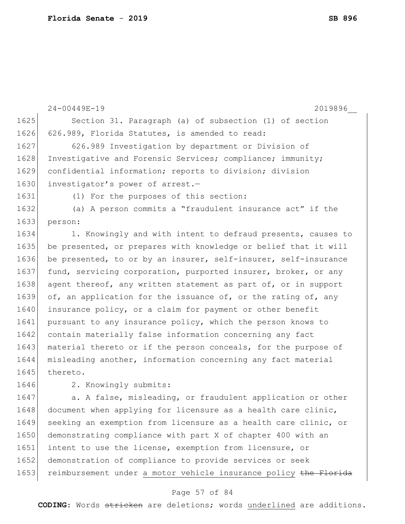24-00449E-19 2019896\_\_ 1625 Section 31. Paragraph (a) of subsection (1) of section 1626 626.989, Florida Statutes, is amended to read: 1627 626.989 Investigation by department or Division of 1628 Investigative and Forensic Services; compliance; immunity; 1629 confidential information; reports to division; division 1630 investigator's power of arrest.-1631 (1) For the purposes of this section: 1632 (a) A person commits a "fraudulent insurance act" if the 1633 person: 1634 1. Knowingly and with intent to defraud presents, causes to 1635 be presented, or prepares with knowledge or belief that it will 1636 be presented, to or by an insurer, self-insurer, self-insurance 1637 fund, servicing corporation, purported insurer, broker, or any 1638 agent thereof, any written statement as part of, or in support 1639 of, an application for the issuance of, or the rating of, any 1640 insurance policy, or a claim for payment or other benefit 1641 pursuant to any insurance policy, which the person knows to 1642 contain materially false information concerning any fact 1643 material thereto or if the person conceals, for the purpose of 1644 misleading another, information concerning any fact material 1645 thereto. 1646 2. Knowingly submits: 1647 a. A false, misleading, or fraudulent application or other 1648 document when applying for licensure as a health care clinic, 1649 seeking an exemption from licensure as a health care clinic, or 1650 demonstrating compliance with part X of chapter 400 with an 1651 intent to use the license, exemption from licensure, or 1652 demonstration of compliance to provide services or seek

#### Page 57 of 84

1653 reimbursement under a motor vehicle insurance policy the Florida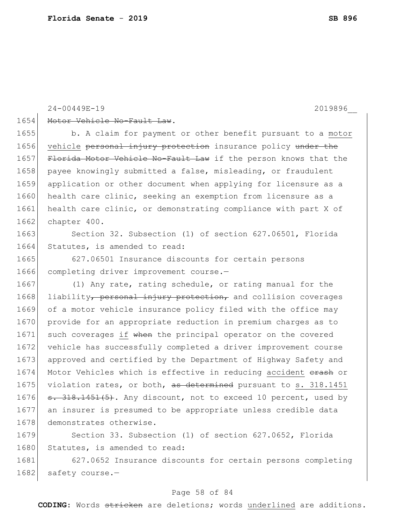#### 24-00449E-19 2019896\_\_

#### 1654 Motor Vehicle No-Fault Law.

1655 b. A claim for payment or other benefit pursuant to a motor 1656 vehicle personal injury protection insurance policy under the 1657 Florida Motor Vehicle No-Fault Law if the person knows that the 1658 payee knowingly submitted a false, misleading, or fraudulent 1659 application or other document when applying for licensure as a 1660 health care clinic, seeking an exemption from licensure as a 1661 health care clinic, or demonstrating compliance with part X of 1662 chapter 400.

1663 Section 32. Subsection (1) of section 627.06501, Florida 1664 Statutes, is amended to read:

1665 627.06501 Insurance discounts for certain persons 1666 completing driver improvement course.-

1667 (1) Any rate, rating schedule, or rating manual for the 1668 liability, personal injury protection, and collision coverages 1669 of a motor vehicle insurance policy filed with the office may 1670 provide for an appropriate reduction in premium charges as to 1671 such coverages if when the principal operator on the covered 1672 vehicle has successfully completed a driver improvement course 1673 approved and certified by the Department of Highway Safety and 1674 Motor Vehicles which is effective in reducing accident erash or 1675 violation rates, or both, as determined pursuant to s. 318.1451 1676  $\sigma$ . 318.1451(5). Any discount, not to exceed 10 percent, used by 1677 an insurer is presumed to be appropriate unless credible data 1678 demonstrates otherwise.

1679 Section 33. Subsection (1) of section 627.0652, Florida 1680 Statutes, is amended to read:

1681 627.0652 Insurance discounts for certain persons completing 1682 safety course.-

#### Page 58 of 84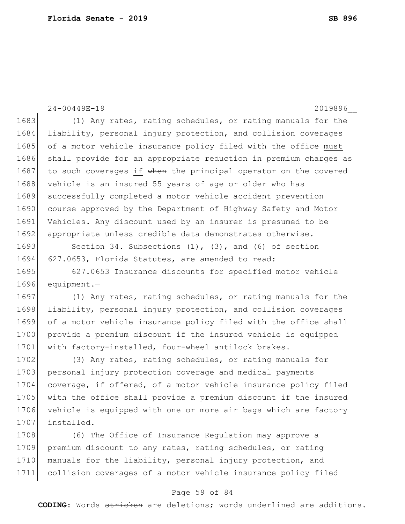24-00449E-19 2019896\_\_ 1683 (1) Any rates, rating schedules, or rating manuals for the 1684 liability, personal injury protection, and collision coverages 1685 of a motor vehicle insurance policy filed with the office must 1686 shall provide for an appropriate reduction in premium charges as 1687 to such coverages if when the principal operator on the covered 1688 vehicle is an insured 55 years of age or older who has 1689 successfully completed a motor vehicle accident prevention 1690 course approved by the Department of Highway Safety and Motor 1691 Vehicles. Any discount used by an insurer is presumed to be 1692 appropriate unless credible data demonstrates otherwise. 1693 Section 34. Subsections (1), (3), and (6) of section 1694 627.0653, Florida Statutes, are amended to read: 1695 627.0653 Insurance discounts for specified motor vehicle 1696 equipment.— 1697 (1) Any rates, rating schedules, or rating manuals for the 1698 liability, personal injury protection, and collision coverages 1699 of a motor vehicle insurance policy filed with the office shall 1700 provide a premium discount if the insured vehicle is equipped 1701 with factory-installed, four-wheel antilock brakes. 1702 (3) Any rates, rating schedules, or rating manuals for 1703 personal injury protection coverage and medical payments 1704 coverage, if offered, of a motor vehicle insurance policy filed 1705 with the office shall provide a premium discount if the insured 1706 vehicle is equipped with one or more air bags which are factory 1707 installed. 1708 (6) The Office of Insurance Regulation may approve a 1709 premium discount to any rates, rating schedules, or rating 1710 manuals for the liability, personal injury protection, and

#### Page 59 of 84

1711 collision coverages of a motor vehicle insurance policy filed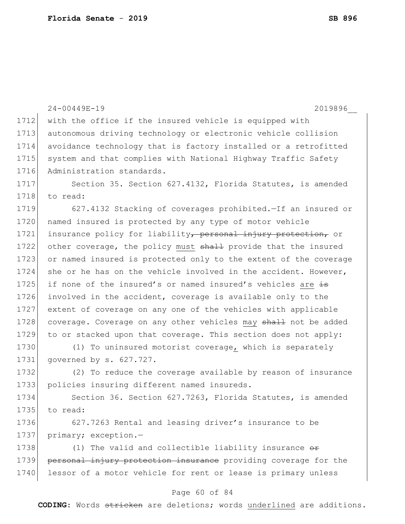|      | 24-00449E-19<br>2019896                                                    |
|------|----------------------------------------------------------------------------|
| 1712 | with the office if the insured vehicle is equipped with                    |
| 1713 | autonomous driving technology or electronic vehicle collision              |
| 1714 | avoidance technology that is factory installed or a retrofitted            |
| 1715 | system and that complies with National Highway Traffic Safety              |
| 1716 | Administration standards.                                                  |
| 1717 | Section 35. Section 627.4132, Florida Statutes, is amended                 |
| 1718 | to read:                                                                   |
| 1719 | 627.4132 Stacking of coverages prohibited. - If an insured or              |
| 1720 | named insured is protected by any type of motor vehicle                    |
| 1721 | insurance policy for liability <del>, personal injury protection,</del> or |
| 1722 | other coverage, the policy must shall provide that the insured             |
| 1723 | or named insured is protected only to the extent of the coverage           |
| 1724 | she or he has on the vehicle involved in the accident. However,            |
| 1725 | if none of the insured's or named insured's vehicles are is                |
| 1726 | involved in the accident, coverage is available only to the                |
| 1727 | extent of coverage on any one of the vehicles with applicable              |
| 1728 | coverage. Coverage on any other vehicles may shall not be added            |
| 1729 | to or stacked upon that coverage. This section does not apply:             |
| 1730 | (1) To uninsured motorist coverage, which is separately                    |
| 1731 | governed by s. 627.727.                                                    |
| 1732 | (2) To reduce the coverage available by reason of insurance                |
| 1733 | policies insuring different named insureds.                                |
| 1734 | Section 36. Section 627.7263, Florida Statutes, is amended                 |
| 1735 | to read:                                                                   |
| 1736 | 627.7263 Rental and leasing driver's insurance to be                       |
| 1737 | primary; exception.-                                                       |
| 1738 | (1) The valid and collectible liability insurance $\theta$                 |
| 1739 | personal injury protection insurance providing coverage for the            |
| 1740 | lessor of a motor vehicle for rent or lease is primary unless              |

# Page 60 of 84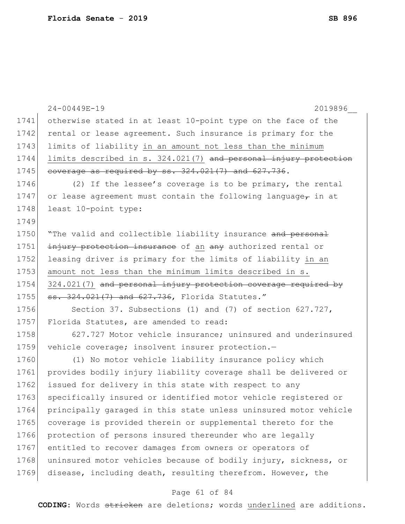|      | $24 - 00449E - 19$<br>2019896                                    |
|------|------------------------------------------------------------------|
| 1741 | otherwise stated in at least 10-point type on the face of the    |
| 1742 | rental or lease agreement. Such insurance is primary for the     |
| 1743 | limits of liability in an amount not less than the minimum       |
| 1744 | limits described in s. 324.021(7) and personal injury protection |
| 1745 | coverage as required by ss. 324.021(7) and 627.736.              |
| 1746 | (2) If the lessee's coverage is to be primary, the rental        |
| 1747 | or lease agreement must contain the following language, in at    |
| 1748 | least 10-point type:                                             |
| 1749 |                                                                  |
| 1750 | "The valid and collectible liability insurance and personal      |
| 1751 | injury protection insurance of an any authorized rental or       |
| 1752 | leasing driver is primary for the limits of liability in an      |
| 1753 | amount not less than the minimum limits described in s.          |
| 1754 | 324.021(7) and personal injury protection coverage required by   |
| 1755 | ss. 324.021(7) and 627.736, Florida Statutes."                   |
| 1756 | Section 37. Subsections (1) and (7) of section $627.727$ ,       |
| 1757 | Florida Statutes, are amended to read:                           |
| 1758 | 627.727 Motor vehicle insurance; uninsured and underinsured      |
| 1759 | vehicle coverage; insolvent insurer protection.-                 |
| 1760 | (1) No motor vehicle liability insurance policy which            |
| 1761 | provides bodily injury liability coverage shall be delivered or  |
| 1762 | issued for delivery in this state with respect to any            |
| 1763 | specifically insured or identified motor vehicle registered or   |
| 1764 | principally garaged in this state unless uninsured motor vehicle |
| 1765 | coverage is provided therein or supplemental thereto for the     |
| 1766 | protection of persons insured thereunder who are legally         |
| 1767 | entitled to recover damages from owners or operators of          |
| 1768 | uninsured motor vehicles because of bodily injury, sickness, or  |
| 1769 | disease, including death, resulting therefrom. However, the      |
|      |                                                                  |

# Page 61 of 84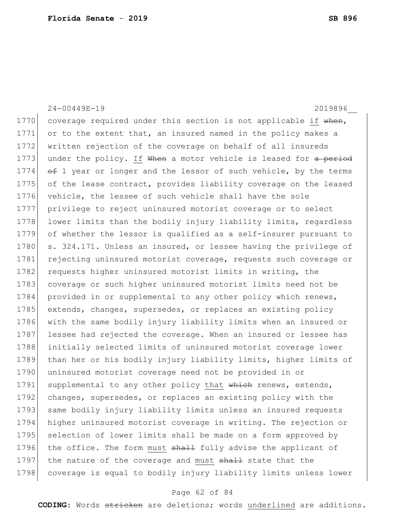| $24 - 00449E - 19$<br>2019896                                    |
|------------------------------------------------------------------|
| coverage required under this section is not applicable if when,  |
| or to the extent that, an insured named in the policy makes a    |
| written rejection of the coverage on behalf of all insureds      |
| under the policy. If When a motor vehicle is leased for a period |
| of 1 year or longer and the lessor of such vehicle, by the terms |
| of the lease contract, provides liability coverage on the leased |
| vehicle, the lessee of such vehicle shall have the sole          |
| privilege to reject uninsured motorist coverage or to select     |
| lower limits than the bodily injury liability limits, regardless |
| of whether the lessor is qualified as a self-insurer pursuant to |
| s. 324.171. Unless an insured, or lessee having the privilege of |
| rejecting uninsured motorist coverage, requests such coverage or |
| requests higher uninsured motorist limits in writing, the        |
| coverage or such higher uninsured motorist limits need not be    |
| provided in or supplemental to any other policy which renews,    |
| extends, changes, supersedes, or replaces an existing policy     |
| with the same bodily injury liability limits when an insured or  |
| lessee had rejected the coverage. When an insured or lessee has  |
| initially selected limits of uninsured motorist coverage lower   |
| than her or his bodily injury liability limits, higher limits of |
| uninsured motorist coverage need not be provided in or           |
| supplemental to any other policy that which renews, extends,     |
| changes, supersedes, or replaces an existing policy with the     |
| same bodily injury liability limits unless an insured requests   |
| higher uninsured motorist coverage in writing. The rejection or  |
| selection of lower limits shall be made on a form approved by    |
| the office. The form must shall fully advise the applicant of    |
| the nature of the coverage and must shall state that the         |
| coverage is equal to bodily injury liability limits unless lower |
|                                                                  |

# Page 62 of 84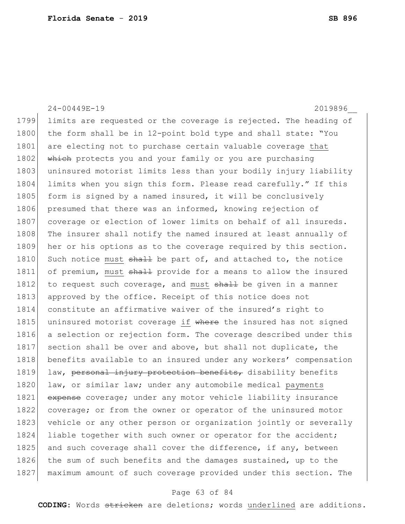24-00449E-19 2019896\_\_ 1799 limits are requested or the coverage is rejected. The heading of 1800 the form shall be in 12-point bold type and shall state: "You 1801 are electing not to purchase certain valuable coverage that 1802 which protects you and your family or you are purchasing 1803 uninsured motorist limits less than your bodily injury liability 1804 limits when you sign this form. Please read carefully." If this 1805 form is signed by a named insured, it will be conclusively 1806 presumed that there was an informed, knowing rejection of 1807 coverage or election of lower limits on behalf of all insureds. 1808 The insurer shall notify the named insured at least annually of 1809 her or his options as to the coverage required by this section. 1810 Such notice must  $shath$  be part of, and attached to, the notice 1811 of premium, must shall provide for a means to allow the insured 1812 to request such coverage, and must  $shall$  be given in a manner 1813 approved by the office. Receipt of this notice does not 1814 constitute an affirmative waiver of the insured's right to 1815 uninsured motorist coverage if where the insured has not signed 1816 a selection or rejection form. The coverage described under this 1817 section shall be over and above, but shall not duplicate, the 1818 benefits available to an insured under any workers' compensation 1819 law, personal injury protection benefits, disability benefits 1820 law, or similar law; under any automobile medical payments 1821 expense coverage; under any motor vehicle liability insurance 1822 coverage; or from the owner or operator of the uninsured motor 1823 vehicle or any other person or organization jointly or severally 1824 liable together with such owner or operator for the accident; 1825 and such coverage shall cover the difference, if any, between 1826 the sum of such benefits and the damages sustained, up to the 1827 maximum amount of such coverage provided under this section. The

#### Page 63 of 84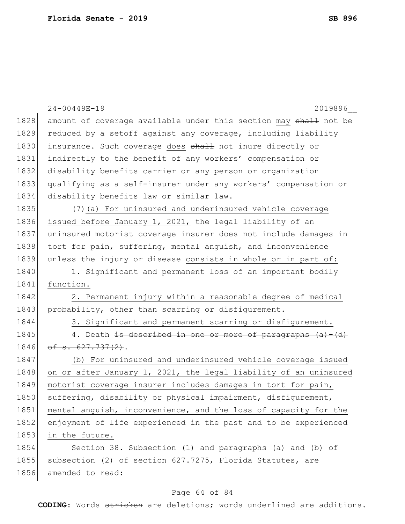|      | 24-00449E-19<br>2019896                                          |
|------|------------------------------------------------------------------|
| 1828 | amount of coverage available under this section may shall not be |
| 1829 | reduced by a setoff against any coverage, including liability    |
| 1830 | insurance. Such coverage does shall not inure directly or        |
| 1831 | indirectly to the benefit of any workers' compensation or        |
| 1832 | disability benefits carrier or any person or organization        |
| 1833 | qualifying as a self-insurer under any workers' compensation or  |
| 1834 | disability benefits law or similar law.                          |
| 1835 | (7) (a) For uninsured and underinsured vehicle coverage          |
| 1836 | issued before January 1, 2021, the legal liability of an         |
| 1837 | uninsured motorist coverage insurer does not include damages in  |
| 1838 | tort for pain, suffering, mental anguish, and inconvenience      |
| 1839 | unless the injury or disease consists in whole or in part of:    |
| 1840 | 1. Significant and permanent loss of an important bodily         |
| 1841 | function.                                                        |
| 1842 | 2. Permanent injury within a reasonable degree of medical        |
| 1843 | probability, other than scarring or disfigurement.               |
| 1844 | 3. Significant and permanent scarring or disfigurement.          |
| 1845 | 4. Death is described in one or more of paragraphs (a)-(d)       |
| 1846 | $\circ$ f s. 627.737(2).                                         |
| 1847 | (b) For uninsured and underinsured vehicle coverage issued       |
| 1848 | on or after January 1, 2021, the legal liability of an uninsured |
| 1849 | motorist coverage insurer includes damages in tort for pain,     |
| 1850 | suffering, disability or physical impairment, disfigurement,     |
| 1851 | mental anguish, inconvenience, and the loss of capacity for the  |
| 1852 | enjoyment of life experienced in the past and to be experienced  |
| 1853 | in the future.                                                   |
| 1854 | Section 38. Subsection (1) and paragraphs (a) and (b) of         |
| 1855 | subsection (2) of section 627.7275, Florida Statutes, are        |
| 1856 | amended to read:                                                 |

# Page 64 of 84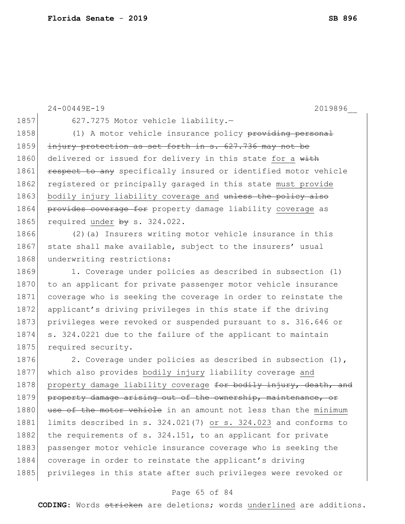```
24-00449E-19 2019896__
1857 627.7275 Motor vehicle liability.-
1858 (1) A motor vehicle insurance policy providing personal
1859 injury protection as set forth in s. 627.736 may not be
1860 delivered or issued for delivery in this state for a with
1861 respect to any specifically insured or identified motor vehicle
1862 registered or principally garaged in this state must provide
1863 bodily injury liability coverage and unless the policy also
1864 provides coverage for property damage liability coverage as
1865 required under by s. 324.022.
1866 (2)(a) Insurers writing motor vehicle insurance in this
1867 state shall make available, subject to the insurers' usual
1868 underwriting restrictions:
1869 1. Coverage under policies as described in subsection (1)
1870 to an applicant for private passenger motor vehicle insurance
1871 coverage who is seeking the coverage in order to reinstate the 
1872 applicant's driving privileges in this state if the driving
1873 privileges were revoked or suspended pursuant to s. 316.646 or
1874 s. 324.0221 due to the failure of the applicant to maintain 
1875 required security.
1876 2. Coverage under policies as described in subsection (1),
1877 which also provides bodily injury liability coverage and 
1878 property damage liability coverage for bodily injury, death, and
1879 property damage arising out of the ownership, maintenance, or
1880 use of the motor vehicle in an amount not less than the minimum
1881 limits described in s. 324.021(7) or s. 324.023 and conforms to
1882 the requirements of s. 324.151, to an applicant for private
1883 passenger motor vehicle insurance coverage who is seeking the
1884 coverage in order to reinstate the applicant's driving
1885 privileges in this state after such privileges were revoked or
```
#### Page 65 of 84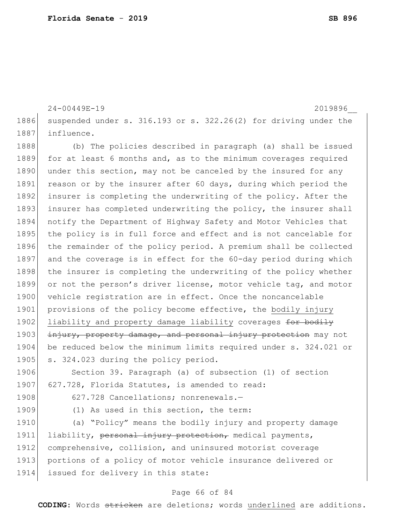1886 suspended under s. 316.193 or s. 322.26(2) for driving under the 1887 influence. 1888 (b) The policies described in paragraph (a) shall be issued 1889 for at least 6 months and, as to the minimum coverages required 1890 under this section, may not be canceled by the insured for any 1891 reason or by the insurer after 60 days, during which period the 1892 insurer is completing the underwriting of the policy. After the 1893 insurer has completed underwriting the policy, the insurer shall 1894 notify the Department of Highway Safety and Motor Vehicles that 1895 the policy is in full force and effect and is not cancelable for 1896 the remainder of the policy period. A premium shall be collected 1897 and the coverage is in effect for the 60-day period during which 1898 the insurer is completing the underwriting of the policy whether 1899 or not the person's driver license, motor vehicle tag, and motor 1900 vehicle registration are in effect. Once the noncancelable 1901 provisions of the policy become effective, the bodily injury 1902 liability and property damage liability coverages for bodily 1903 injury, property damage, and personal injury protection may not 1904 be reduced below the minimum limits required under s. 324.021 or 1905 s. 324.023 during the policy period. 1906 Section 39. Paragraph (a) of subsection (1) of section 1907 627.728, Florida Statutes, is amended to read:

24-00449E-19 2019896\_\_

1908 627.728 Cancellations; nonrenewals.

1909 (1) As used in this section, the term:

1910 (a) "Policy" means the bodily injury and property damage 1911 liability, personal injury protection, medical payments, 1912 comprehensive, collision, and uninsured motorist coverage 1913 portions of a policy of motor vehicle insurance delivered or 1914 issued for delivery in this state:

#### Page 66 of 84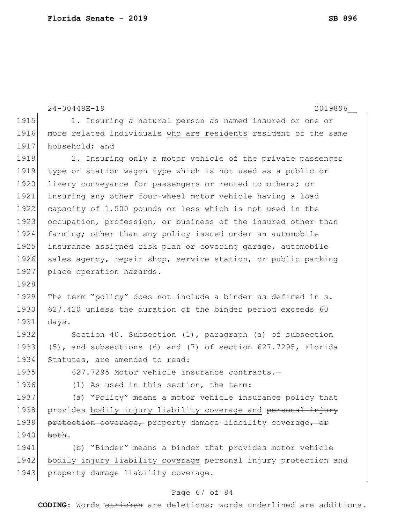|      | $24 - 00449E - 19$<br>2019896                                   |
|------|-----------------------------------------------------------------|
| 1915 | 1. Insuring a natural person as named insured or one or         |
| 1916 | more related individuals who are residents resident of the same |
| 1917 | household; and                                                  |
| 1918 | 2. Insuring only a motor vehicle of the private passenger       |
| 1919 | type or station wagon type which is not used as a public or     |
| 1920 | livery conveyance for passengers or rented to others; or        |
| 1921 | insuring any other four-wheel motor vehicle having a load       |
| 1922 | capacity of 1,500 pounds or less which is not used in the       |
| 1923 | occupation, profession, or business of the insured other than   |
| 1924 | farming; other than any policy issued under an automobile       |
| 1925 | insurance assigned risk plan or covering garage, automobile     |
| 1926 | sales agency, repair shop, service station, or public parking   |
| 1927 | place operation hazards.                                        |
| 1928 |                                                                 |
| 1929 | The term "policy" does not include a binder as defined in s.    |
| 1930 | 627.420 unless the duration of the binder period exceeds 60     |
| 1931 | days.                                                           |
| 1932 | Section 40. Subsection (1), paragraph (a) of subsection         |
| 1933 | (5), and subsections (6) and (7) of section 627.7295, Florida   |
| 1934 | Statutes, are amended to read:                                  |
| 1935 | 627.7295 Motor vehicle insurance contracts.-                    |
| 1936 | (1) As used in this section, the term:                          |
| 1937 | (a) "Policy" means a motor vehicle insurance policy that        |
| 1938 | provides bodily injury liability coverage and personal injury   |
| 1939 | protection coverage, property damage liability coverage, or     |
| 1940 | both.                                                           |
| 1941 | (b) "Binder" means a binder that provides motor vehicle         |
| 1942 | bodily injury liability coverage personal injury protection and |
| 1943 | property damage liability coverage.                             |
|      |                                                                 |

# Page 67 of 84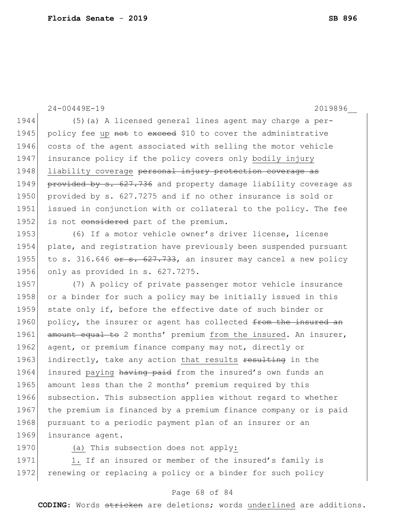24-00449E-19 2019896\_\_ 1944 (5)(a) A licensed general lines agent may charge a per-1945 policy fee up not to exceed \$10 to cover the administrative 1946 costs of the agent associated with selling the motor vehicle 1947 insurance policy if the policy covers only bodily injury 1948 liability coverage personal injury protection coverage as 1949 provided by s. 627.736 and property damage liability coverage as 1950 provided by s. 627.7275 and if no other insurance is sold or 1951 issued in conjunction with or collateral to the policy. The fee 1952 is not considered part of the premium. 1953 (6) If a motor vehicle owner's driver license, license 1954 plate, and registration have previously been suspended pursuant 1955 to s. 316.646 or s. 627.733, an insurer may cancel a new policy 1956 only as provided in s. 627.7275. 1957 (7) A policy of private passenger motor vehicle insurance 1958 or a binder for such a policy may be initially issued in this 1959 state only if, before the effective date of such binder or 1960 policy, the insurer or agent has collected from the insured an 1961 amount equal to 2 months' premium from the insured. An insurer, 1962 agent, or premium finance company may not, directly or 1963 indirectly, take any action that results resulting in the 1964 insured paying having paid from the insured's own funds an 1965 amount less than the 2 months' premium required by this 1966 subsection. This subsection applies without regard to whether 1967 the premium is financed by a premium finance company or is paid 1968 pursuant to a periodic payment plan of an insurer or an 1969 insurance agent. 1970 (a) This subsection does not apply:

1971 1. If an insured or member of the insured's family is 1972 renewing or replacing a policy or a binder for such policy

#### Page 68 of 84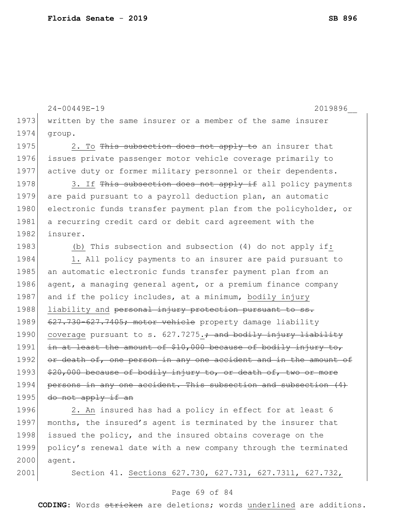```
24-00449E-19 2019896__
1973 written by the same insurer or a member of the same insurer
1974 group.
1975 2. To This subsection does not apply to an insurer that
1976 issues private passenger motor vehicle coverage primarily to 
1977 active duty or former military personnel or their dependents.
1978 3. If This subsection does not apply if all policy payments
1979 are paid pursuant to a payroll deduction plan, an automatic 
1980 electronic funds transfer payment plan from the policyholder, or
1981 a recurring credit card or debit card agreement with the
1982 insurer.
1983 (b) This subsection and subsection (4) do not apply if:
1984 1. All policy payments to an insurer are paid pursuant to
1985 an automatic electronic funds transfer payment plan from an
1986 agent, a managing general agent, or a premium finance company 
1987 and if the policy includes, at a minimum, bodily injury
1988 liability and personal injury protection pursuant to ss.
1989 627.730-627.7405; motor vehicle property damage liability
1990 coverage pursuant to s. 627.7275.; and bodily injury liability
1991 in at least the amount of $10,000 because of bodily injury to,
1992 or death of, one person in any one accident and in the amount of
1993 $20,000 because of bodily injury to, or death of, two or more
1994 persons in any one accident. This subsection and subsection (4)
1995 \frac{d}{dx} do not apply if an
1996 2. An insured has had a policy in effect for at least 6
```
1997 months, the insured's agent is terminated by the insurer that 1998 issued the policy, and the insured obtains coverage on the 1999 policy's renewal date with a new company through the terminated 2000 agent.

2001 Section 41. Sections 627.730, 627.731, 627.7311, 627.732,

#### Page 69 of 84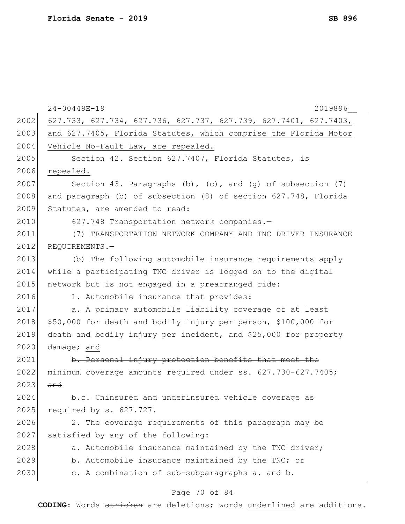|      | 24-00449E-19<br>2019896                                          |
|------|------------------------------------------------------------------|
| 2002 | 627.733, 627.734, 627.736, 627.737, 627.739, 627.7401, 627.7403, |
| 2003 | and 627.7405, Florida Statutes, which comprise the Florida Motor |
| 2004 | Vehicle No-Fault Law, are repealed.                              |
| 2005 | Section 42. Section 627.7407, Florida Statutes, is               |
| 2006 | repealed.                                                        |
| 2007 | Section 43. Paragraphs (b), (c), and (g) of subsection $(7)$     |
| 2008 | and paragraph (b) of subsection (8) of section 627.748, Florida  |
| 2009 | Statutes, are amended to read:                                   |
| 2010 | 627.748 Transportation network companies.-                       |
| 2011 | (7) TRANSPORTATION NETWORK COMPANY AND TNC DRIVER INSURANCE      |
| 2012 | REQUIREMENTS.-                                                   |
| 2013 | (b) The following automobile insurance requirements apply        |
| 2014 | while a participating TNC driver is logged on to the digital     |
| 2015 | network but is not engaged in a prearranged ride:                |
| 2016 | 1. Automobile insurance that provides:                           |
| 2017 | a. A primary automobile liability coverage of at least           |
| 2018 | \$50,000 for death and bodily injury per person, \$100,000 for   |
| 2019 | death and bodily injury per incident, and \$25,000 for property  |
| 2020 | damage; and                                                      |
| 2021 | b. Personal injury protection benefits that meet the             |
| 2022 | minimum coverage amounts required under ss. 627.730-627.7405;    |
| 2023 | and                                                              |
| 2024 | b.e. Uninsured and underinsured vehicle coverage as              |
| 2025 | required by s. 627.727.                                          |
| 2026 | 2. The coverage requirements of this paragraph may be            |
| 2027 | satisfied by any of the following:                               |
| 2028 | a. Automobile insurance maintained by the TNC driver;            |
| 2029 | b. Automobile insurance maintained by the TNC; or                |
| 2030 | c. A combination of sub-subparagraphs a. and b.                  |
|      | $D \cap \alpha \cap 70$ of 21                                    |

#### Page 70 of 84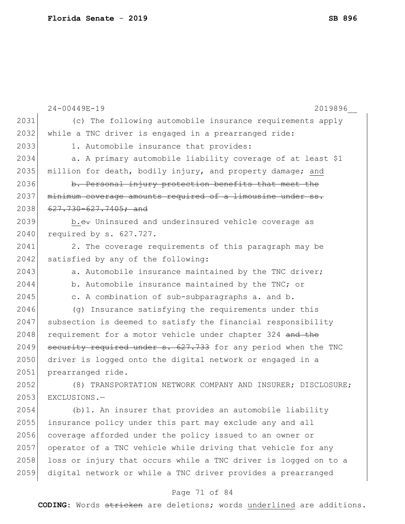|      | 24-00449E-19<br>2019896                                         |
|------|-----------------------------------------------------------------|
| 2031 | (c) The following automobile insurance requirements apply       |
| 2032 | while a TNC driver is engaged in a prearranged ride:            |
| 2033 | 1. Automobile insurance that provides:                          |
| 2034 | a. A primary automobile liability coverage of at least \$1      |
| 2035 | million for death, bodily injury, and property damage; and      |
| 2036 | b. Personal injury protection benefits that meet the            |
| 2037 | minimum coverage amounts required of a limousine under ss.      |
| 2038 | $627.730 - 627.7405$ ; and                                      |
| 2039 | b.e. Uninsured and underinsured vehicle coverage as             |
| 2040 | required by s. 627.727.                                         |
| 2041 | 2. The coverage requirements of this paragraph may be           |
| 2042 | satisfied by any of the following:                              |
| 2043 | a. Automobile insurance maintained by the TNC driver;           |
| 2044 | b. Automobile insurance maintained by the TNC; or               |
| 2045 | c. A combination of sub-subparagraphs a. and b.                 |
| 2046 | (g) Insurance satisfying the requirements under this            |
| 2047 | subsection is deemed to satisfy the financial responsibility    |
| 2048 | requirement for a motor vehicle under chapter 324 and the       |
| 2049 | security required under s. 627.733 for any period when the TNC  |
| 2050 | driver is logged onto the digital network or engaged in a       |
| 2051 | prearranged ride.                                               |
| 2052 | (8) TRANSPORTATION NETWORK COMPANY AND INSURER; DISCLOSURE;     |
| 2053 | EXCLUSIONS.-                                                    |
| 2054 | (b) 1. An insurer that provides an automobile liability         |
| 2055 | insurance policy under this part may exclude any and all        |
| 2056 | coverage afforded under the policy issued to an owner or        |
| 2057 | operator of a TNC vehicle while driving that vehicle for any    |
| 2058 | loss or injury that occurs while a TNC driver is logged on to a |
| 2059 | digital network or while a TNC driver provides a prearranged    |

# Page 71 of 84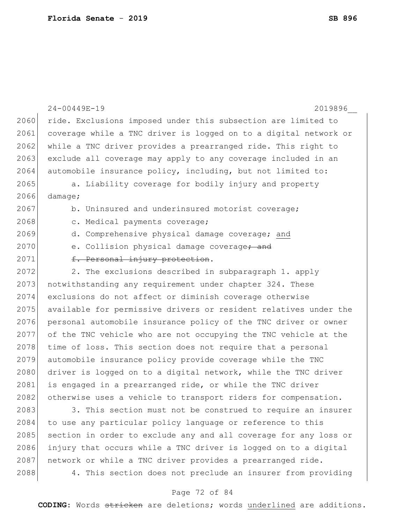|      | 24-00449E-19<br>2019896                                          |
|------|------------------------------------------------------------------|
| 2060 | ride. Exclusions imposed under this subsection are limited to    |
| 2061 | coverage while a TNC driver is logged on to a digital network or |
| 2062 | while a TNC driver provides a prearranged ride. This right to    |
| 2063 | exclude all coverage may apply to any coverage included in an    |
| 2064 | automobile insurance policy, including, but not limited to:      |
| 2065 | a. Liability coverage for bodily injury and property             |
| 2066 | $\texttt{damage}$ ;                                              |
| 2067 | b. Uninsured and underinsured motorist coverage;                 |
| 2068 | c. Medical payments coverage;                                    |
| 2069 | d. Comprehensive physical damage coverage; and                   |
| 2070 | e. Collision physical damage coverage <del>; and</del>           |
| 2071 | f. Personal injury protection.                                   |
| 2072 | 2. The exclusions described in subparagraph 1. apply             |
| 2073 | notwithstanding any requirement under chapter 324. These         |
| 2074 | exclusions do not affect or diminish coverage otherwise          |
| 2075 | available for permissive drivers or resident relatives under the |
| 2076 | personal automobile insurance policy of the TNC driver or owner  |
| 2077 | of the TNC vehicle who are not occupying the TNC vehicle at the  |
| 2078 | time of loss. This section does not require that a personal      |
| 2079 | automobile insurance policy provide coverage while the TNC       |
| 2080 | driver is logged on to a digital network, while the TNC driver   |
| 2081 | is engaged in a prearranged ride, or while the TNC driver        |
| 2082 | otherwise uses a vehicle to transport riders for compensation.   |
| 2083 | 3. This section must not be construed to require an insurer      |
| 2084 | to use any particular policy language or reference to this       |

policy language o 2085 section in order to exclude any and all coverage for any loss or injury that occurs while a TNC driver is logged on to a digital 2087 | network or while a TNC driver provides a prearranged ride. 2088 4. This section does not preclude an insurer from providing

### Page 72 of 84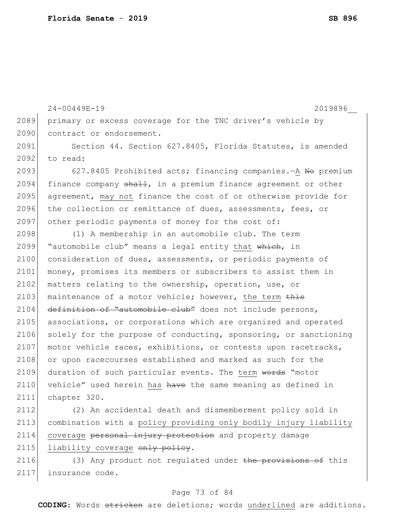24-00449E-19 2019896\_\_ 2089 primary or excess coverage for the TNC driver's vehicle by 2090 contract or endorsement. 2091 Section 44. Section 627.8405, Florida Statutes, is amended 2092 to read: 2093 627.8405 Prohibited acts; financing companies. - A No premium 2094 finance company  $\frac{1}{2}$ , in a premium finance agreement or other 2095 agreement, may not finance the cost of or otherwise provide for 2096 the collection or remittance of dues, assessments, fees, or 2097 other periodic payments of money for the cost of: 2098 (1) A membership in an automobile club. The term 2099 "automobile club" means a legal entity that which, in 2100 consideration of dues, assessments, or periodic payments of 2101 money, promises its members or subscribers to assist them in 2102 matters relating to the ownership, operation, use, or 2103 maintenance of a motor vehicle; however, the term  $\frac{1}{2}$ 2104 definition of "automobile club" does not include persons, 2105 associations, or corporations which are organized and operated 2106 solely for the purpose of conducting, sponsoring, or sanctioning 2107 motor vehicle races, exhibitions, or contests upon racetracks, 2108 or upon racecourses established and marked as such for the 2109 duration of such particular events. The term words "motor 2110 vehicle" used herein has have the same meaning as defined in 2111 chapter 320.

2112 (2) An accidental death and dismemberment policy sold in 2113 combination with a policy providing only bodily injury liability 2114 coverage personal injury protection and property damage 2115 liability coverage only policy.

2116 (3) Any product not regulated under the provisions of this 2117 insurance code.

### Page 73 of 84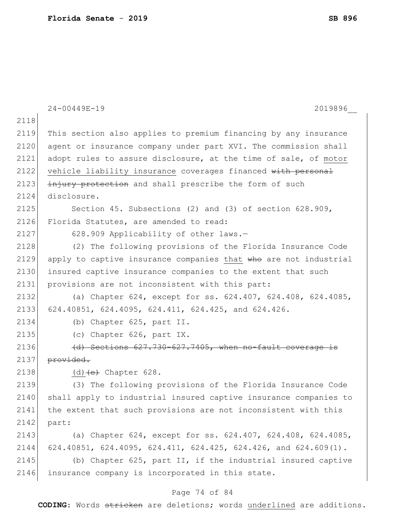|      | $24 - 00449E - 19$<br>2019896                                    |
|------|------------------------------------------------------------------|
| 2118 |                                                                  |
| 2119 | This section also applies to premium financing by any insurance  |
| 2120 | agent or insurance company under part XVI. The commission shall  |
| 2121 | adopt rules to assure disclosure, at the time of sale, of motor  |
| 2122 | vehicle liability insurance coverages financed with personal     |
| 2123 | injury protection and shall prescribe the form of such           |
| 2124 | disclosure.                                                      |
| 2125 | Section 45. Subsections (2) and (3) of section 628.909,          |
| 2126 | Florida Statutes, are amended to read:                           |
| 2127 | 628.909 Applicability of other laws.-                            |
| 2128 | (2) The following provisions of the Florida Insurance Code       |
| 2129 | apply to captive insurance companies that who are not industrial |
| 2130 | insured captive insurance companies to the extent that such      |
| 2131 | provisions are not inconsistent with this part:                  |
| 2132 | (a) Chapter 624, except for ss. 624.407, 624.408, 624.4085,      |
| 2133 | 624.40851, 624.4095, 624.411, 624.425, and 624.426.              |
| 2134 | (b) Chapter 625, part II.                                        |
| 2135 | (c) Chapter 626, part IX.                                        |
| 2136 | (d) Sections 627.730-627.7405, when no-fault coverage is         |
| 2137 | provided.                                                        |
| 2138 | $(d)$ $(e)$ Chapter 628.                                         |
| 2139 | (3) The following provisions of the Florida Insurance Code       |
| 2140 | shall apply to industrial insured captive insurance companies to |
| 2141 | the extent that such provisions are not inconsistent with this   |
| 2142 | part:                                                            |
| 2143 | (a) Chapter 624, except for ss. 624.407, 624.408, 624.4085,      |
| 2144 | 624.40851, 624.4095, 624.411, 624.425, 624.426, and 624.609(1).  |
| 2145 | (b) Chapter 625, part II, if the industrial insured captive      |
| 2146 | insurance company is incorporated in this state.                 |

# Page 74 of 84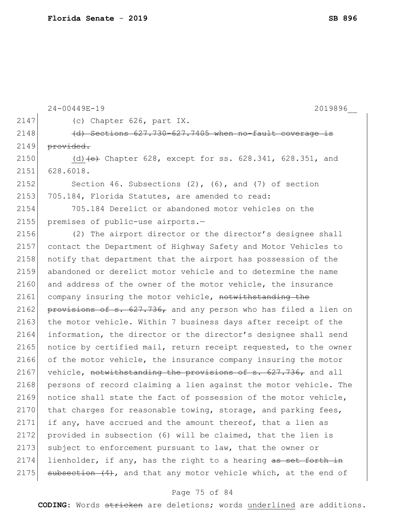|      | 24-00449E-19<br>2019896                                          |
|------|------------------------------------------------------------------|
| 2147 | (c) Chapter 626, part IX.                                        |
| 2148 | (d) Sections 627.730-627.7405 when no-fault coverage is          |
| 2149 | provided.                                                        |
| 2150 | (d) $(e)$ Chapter 628, except for ss. 628.341, 628.351, and      |
| 2151 | 628.6018.                                                        |
| 2152 | Section 46. Subsections $(2)$ , $(6)$ , and $(7)$ of section     |
| 2153 | 705.184, Florida Statutes, are amended to read:                  |
| 2154 | 705.184 Derelict or abandoned motor vehicles on the              |
| 2155 | premises of public-use airports.-                                |
| 2156 | (2) The airport director or the director's designee shall        |
| 2157 | contact the Department of Highway Safety and Motor Vehicles to   |
| 2158 | notify that department that the airport has possession of the    |
| 2159 | abandoned or derelict motor vehicle and to determine the name    |
| 2160 | and address of the owner of the motor vehicle, the insurance     |
| 2161 | company insuring the motor vehicle, notwithstanding the          |
| 2162 | provisions of s. 627.736, and any person who has filed a lien on |
| 2163 | the motor vehicle. Within 7 business days after receipt of the   |
| 2164 | information, the director or the director's designee shall send  |
| 2165 | notice by certified mail, return receipt requested, to the owner |
| 2166 | of the motor vehicle, the insurance company insuring the motor   |
| 2167 | vehicle, notwithstanding the provisions of s. 627.736, and all   |
| 2168 | persons of record claiming a lien against the motor vehicle. The |
| 2169 | notice shall state the fact of possession of the motor vehicle,  |
| 2170 | that charges for reasonable towing, storage, and parking fees,   |
| 2171 | if any, have accrued and the amount thereof, that a lien as      |
| 2172 | provided in subsection (6) will be claimed, that the lien is     |
| 2173 | subject to enforcement pursuant to law, that the owner or        |
| 2174 | lienholder, if any, has the right to a hearing as set forth in   |
| 2175 | subsection (4), and that any motor vehicle which, at the end of  |

# Page 75 of 84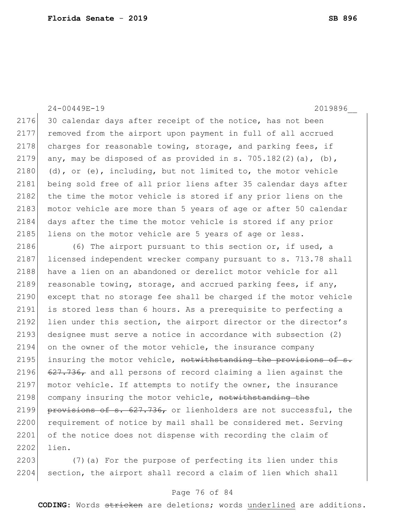24-00449E-19 2019896\_\_

2176 30 calendar days after receipt of the notice, has not been 2177 removed from the airport upon payment in full of all accrued 2178 charges for reasonable towing, storage, and parking fees, if 2179 any, may be disposed of as provided in s. 705.182(2)(a), (b), 2180 (d), or (e), including, but not limited to, the motor vehicle 2181 being sold free of all prior liens after 35 calendar days after 2182 the time the motor vehicle is stored if any prior liens on the 2183 motor vehicle are more than 5 years of age or after 50 calendar 2184 days after the time the motor vehicle is stored if any prior 2185 liens on the motor vehicle are 5 years of age or less.

2186 (6) The airport pursuant to this section or, if used, a 2187 licensed independent wrecker company pursuant to s. 713.78 shall 2188 have a lien on an abandoned or derelict motor vehicle for all 2189 reasonable towing, storage, and accrued parking fees, if any, 2190 except that no storage fee shall be charged if the motor vehicle 2191 is stored less than 6 hours. As a prerequisite to perfecting a 2192 lien under this section, the airport director or the director's 2193 designee must serve a notice in accordance with subsection (2)  $2194$  on the owner of the motor vehicle, the insurance company 2195 insuring the motor vehicle, notwithstanding the provisions of s. 2196  $\left(627.736$ , and all persons of record claiming a lien against the 2197 motor vehicle. If attempts to notify the owner, the insurance 2198 company insuring the motor vehicle, notwithstanding the 2199 provisions of s.  $627.736$ , or lienholders are not successful, the 2200 requirement of notice by mail shall be considered met. Serving 2201 of the notice does not dispense with recording the claim of 2202 lien.

2203 (7)(a) For the purpose of perfecting its lien under this 2204 section, the airport shall record a claim of lien which shall

### Page 76 of 84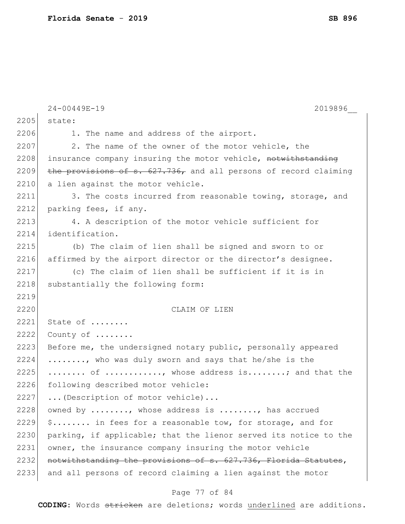|      | 24-00449E-19<br>2019896                                          |
|------|------------------------------------------------------------------|
| 2205 | state:                                                           |
| 2206 | 1. The name and address of the airport.                          |
| 2207 | 2. The name of the owner of the motor vehicle, the               |
| 2208 | insurance company insuring the motor vehicle, notwithstanding    |
| 2209 | the provisions of s. 627.736, and all persons of record claiming |
| 2210 | a lien against the motor vehicle.                                |
| 2211 | 3. The costs incurred from reasonable towing, storage, and       |
| 2212 | parking fees, if any.                                            |
| 2213 | 4. A description of the motor vehicle sufficient for             |
| 2214 | identification.                                                  |
| 2215 | (b) The claim of lien shall be signed and sworn to or            |
| 2216 | affirmed by the airport director or the director's designee.     |
| 2217 | (c) The claim of lien shall be sufficient if it is in            |
| 2218 | substantially the following form:                                |
| 2219 |                                                                  |
| 2220 | CLAIM OF LIEN                                                    |
| 2221 | State of                                                         |
| 2222 | County of                                                        |
| 2223 | Before me, the undersigned notary public, personally appeared    |
| 2224 | , who was duly sworn and says that he/she is the                 |
| 2225 | of , whose address is; and that the                              |
| 2226 | following described motor vehicle:                               |
| 2227 | (Description of motor vehicle)                                   |
| 2228 | owned by , whose address is , has accrued                        |
| 2229 | \$ in fees for a reasonable tow, for storage, and for            |
| 2230 | parking, if applicable; that the lienor served its notice to the |
| 2231 | owner, the insurance company insuring the motor vehicle          |
| 2232 | notwithstanding the provisions of s. 627.736, Florida Statutes,  |
| 2233 | and all persons of record claiming a lien against the motor      |

# Page 77 of 84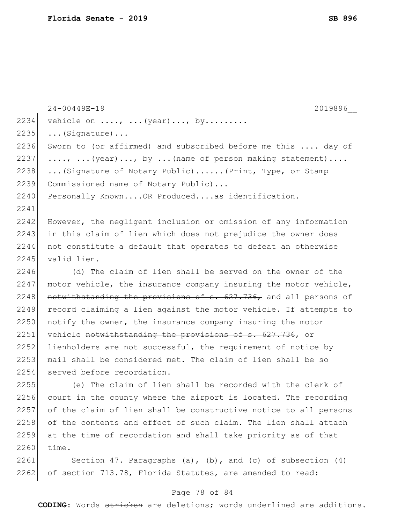|      | $24 - 00449E - 19$<br>2019896                                    |
|------|------------------------------------------------------------------|
| 2234 | vehicle on $\ldots$ , $\ldots$ (year), by                        |
| 2235 | $\ldots$ (Signature)                                             |
| 2236 | Sworn to (or affirmed) and subscribed before me this  day of     |
| 2237 | ,  (year), by  (name of person making statement)                 |
| 2238 | (Signature of Notary Public) (Print, Type, or Stamp              |
| 2239 | Commissioned name of Notary Public)                              |
| 2240 | Personally KnownOR Producedas identification.                    |
| 2241 |                                                                  |
| 2242 | However, the negligent inclusion or omission of any information  |
| 2243 | in this claim of lien which does not prejudice the owner does    |
| 2244 | not constitute a default that operates to defeat an otherwise    |
| 2245 | valid lien.                                                      |
| 2246 | (d) The claim of lien shall be served on the owner of the        |
| 2247 | motor vehicle, the insurance company insuring the motor vehicle, |
| 2248 | notwithstanding the provisions of s. 627.736, and all persons of |
| 2249 | record claiming a lien against the motor vehicle. If attempts to |
| 2250 | notify the owner, the insurance company insuring the motor       |
| 2251 | vehicle notwithstanding the provisions of s. 627.736, or         |
| 2252 | lienholders are not successful, the requirement of notice by     |
| 2253 | mail shall be considered met. The claim of lien shall be so      |
| 2254 | served before recordation.                                       |
| 2255 | (e) The claim of lien shall be recorded with the clerk of        |
| 2256 | court in the county where the airport is located. The recording  |
| 2257 | of the claim of lien shall be constructive notice to all persons |
| 2258 | of the contents and effect of such claim. The lien shall attach  |
| 2259 | at the time of recordation and shall take priority as of that    |
| 2260 | time.                                                            |
| 2261 | Section 47. Paragraphs (a), (b), and (c) of subsection $(4)$     |
| 2262 | of section 713.78, Florida Statutes, are amended to read:        |

# Page 78 of 84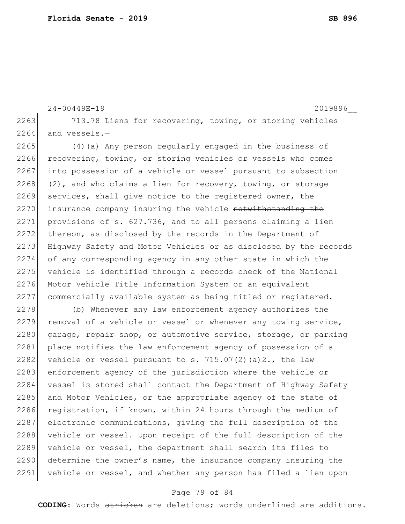```
24-00449E-19 2019896__
2263 713.78 Liens for recovering, towing, or storing vehicles
2264 and vessels.-
2265 (4) (a) Any person regularly engaged in the business of
2266 recovering, towing, or storing vehicles or vessels who comes
2267 into possession of a vehicle or vessel pursuant to subsection
2268 (2), and who claims a lien for recovery, towing, or storage
```
2269 services, shall give notice to the registered owner, the 2270 insurance company insuring the vehicle notwithstanding the 2271 provisions of s.  $627.736$ , and to all persons claiming a lien 2272 thereon, as disclosed by the records in the Department of 2273 Highway Safety and Motor Vehicles or as disclosed by the records 2274 of any corresponding agency in any other state in which the 2275 vehicle is identified through a records check of the National 2276 Motor Vehicle Title Information System or an equivalent 2277 commercially available system as being titled or registered.

2278 (b) Whenever any law enforcement agency authorizes the  $2279$  removal of a vehicle or vessel or whenever any towing service, 2280 garage, repair shop, or automotive service, storage, or parking 2281 place notifies the law enforcement agency of possession of a 2282 vehicle or vessel pursuant to s.  $715.07(2)(a)2.,$  the law 2283 enforcement agency of the jurisdiction where the vehicle or 2284 vessel is stored shall contact the Department of Highway Safety 2285 and Motor Vehicles, or the appropriate agency of the state of 2286 registration, if known, within 24 hours through the medium of 2287 electronic communications, giving the full description of the 2288 vehicle or vessel. Upon receipt of the full description of the 2289 vehicle or vessel, the department shall search its files to 2290 determine the owner's name, the insurance company insuring the 2291 vehicle or vessel, and whether any person has filed a lien upon

### Page 79 of 84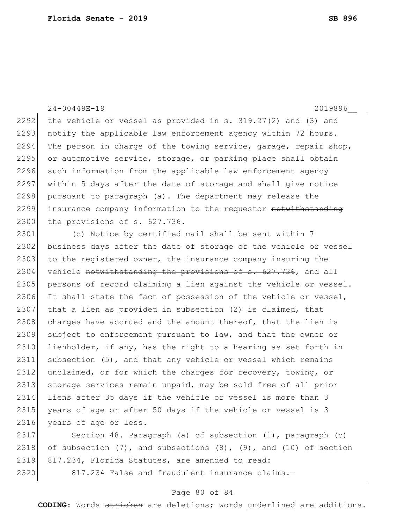### 24-00449E-19 2019896\_\_

2292 the vehicle or vessel as provided in s.  $319.27(2)$  and  $(3)$  and  $2293$  notify the applicable law enforcement agency within 72 hours. 2294 The person in charge of the towing service, garage, repair shop, 2295 or automotive service, storage, or parking place shall obtain 2296 such information from the applicable law enforcement agency 2297 within 5 days after the date of storage and shall give notice  $2298$  pursuant to paragraph (a). The department may release the 2299 insurance company information to the requestor notwithstanding 2300 the provisions of s. 627.736.

2301 (c) Notice by certified mail shall be sent within 7 2302 business days after the date of storage of the vehicle or vessel 2303 to the registered owner, the insurance company insuring the 2304 vehicle notwithstanding the provisions of s. 627.736, and all 2305 persons of record claiming a lien against the vehicle or vessel. 2306 It shall state the fact of possession of the vehicle or vessel, 2307 that a lien as provided in subsection  $(2)$  is claimed, that 2308 charges have accrued and the amount thereof, that the lien is 2309 subject to enforcement pursuant to law, and that the owner or 2310 lienholder, if any, has the right to a hearing as set forth in 2311 subsection (5), and that any vehicle or vessel which remains 2312 unclaimed, or for which the charges for recovery, towing, or 2313 storage services remain unpaid, may be sold free of all prior 2314 liens after 35 days if the vehicle or vessel is more than 3 2315 years of age or after 50 days if the vehicle or vessel is 3 2316 years of age or less.

2317 Section 48. Paragraph (a) of subsection (1), paragraph (c) 2318 of subsection  $(7)$ , and subsections  $(8)$ ,  $(9)$ , and  $(10)$  of section 2319 817.234, Florida Statutes, are amended to read: 2320 817.234 False and fraudulent insurance claims.-

### Page 80 of 84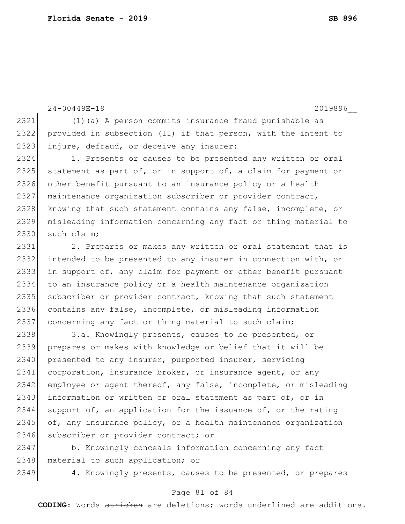24-00449E-19 2019896\_\_

2321 (1)(a) A person commits insurance fraud punishable as 2322 provided in subsection (11) if that person, with the intent to 2323 injure, defraud, or deceive any insurer:

2324 1. Presents or causes to be presented any written or oral 2325 statement as part of, or in support of, a claim for payment or 2326 other benefit pursuant to an insurance policy or a health 2327 maintenance organization subscriber or provider contract, 2328 knowing that such statement contains any false, incomplete, or 2329 misleading information concerning any fact or thing material to 2330 such claim;

2331 2. Prepares or makes any written or oral statement that is 2332 intended to be presented to any insurer in connection with, or 2333 in support of, any claim for payment or other benefit pursuant 2334 to an insurance policy or a health maintenance organization 2335 subscriber or provider contract, knowing that such statement 2336 contains any false, incomplete, or misleading information 2337 concerning any fact or thing material to such claim;

2338 3.a. Knowingly presents, causes to be presented, or 2339 prepares or makes with knowledge or belief that it will be 2340 presented to any insurer, purported insurer, servicing 2341 corporation, insurance broker, or insurance agent, or any 2342 employee or agent thereof, any false, incomplete, or misleading 2343 information or written or oral statement as part of, or in 2344 support of, an application for the issuance of, or the rating 2345 of, any insurance policy, or a health maintenance organization 2346 subscriber or provider contract; or

2347 b. Knowingly conceals information concerning any fact 2348 material to such application; or

2349 4. Knowingly presents, causes to be presented, or prepares

### Page 81 of 84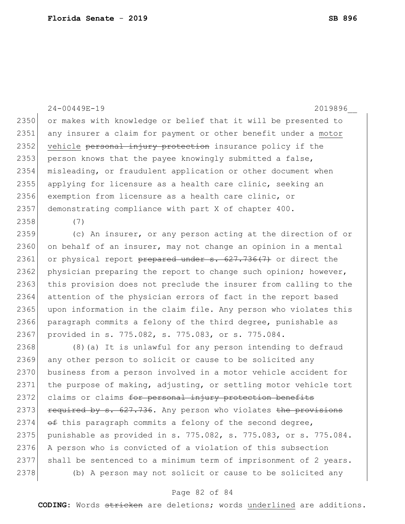2350 or makes with knowledge or belief that it will be presented to 2351 any insurer a claim for payment or other benefit under a motor 2352 vehicle personal injury protection insurance policy if the 2353 person knows that the payee knowingly submitted a false, 2354 misleading, or fraudulent application or other document when 2355 applying for licensure as a health care clinic, seeking an 2356 exemption from licensure as a health care clinic, or 2357 demonstrating compliance with part X of chapter 400. 2358 (7) 2359 (c) An insurer, or any person acting at the direction of or  $2360$  on behalf of an insurer, may not change an opinion in a mental 2361 or physical report prepared under s. 627.736(7) or direct the 2362 physician preparing the report to change such opinion; however, 2363 this provision does not preclude the insurer from calling to the 2364 attention of the physician errors of fact in the report based 2365 upon information in the claim file. Any person who violates this 2366 paragraph commits a felony of the third degree, punishable as 2367 provided in s. 775.082, s. 775.083, or s. 775.084. 2368 (8)(a) It is unlawful for any person intending to defraud 2369 any other person to solicit or cause to be solicited any 2370 business from a person involved in a motor vehicle accident for 2371 the purpose of making, adjusting, or settling motor vehicle tort 2372 claims or claims for personal injury protection benefits 2373 required by s.  $627.736$ . Any person who violates the provisions 2374  $\leftrightarrow$  this paragraph commits a felony of the second degree, 2375 punishable as provided in s. 775.082, s. 775.083, or s. 775.084. 2376 A person who is convicted of a violation of this subsection 2377 shall be sentenced to a minimum term of imprisonment of 2 years. 2378 (b) A person may not solicit or cause to be solicited any

24-00449E-19 2019896\_\_

### Page 82 of 84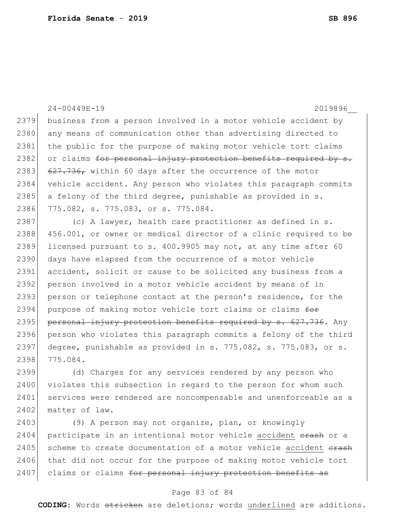24-00449E-19 2019896\_\_ 2379 business from a person involved in a motor vehicle accident by 2380 any means of communication other than advertising directed to 2381 the public for the purpose of making motor vehicle tort claims 2382 or claims <del>for personal injury protection benefits required by s.</del> 2383  $\left( 627.736 \right)$  within 60 days after the occurrence of the motor 2384 vehicle accident. Any person who violates this paragraph commits 2385 a felony of the third degree, punishable as provided in  $s$ . 2386 775.082, s. 775.083, or s. 775.084. 2387 (c) A lawyer, health care practitioner as defined in s. 2388 456.001, or owner or medical director of a clinic required to be  $2389$  licensed pursuant to s. 400.9905 may not, at any time after 60 2390 days have elapsed from the occurrence of a motor vehicle 2391 accident, solicit or cause to be solicited any business from a 2392 person involved in a motor vehicle accident by means of in 2393 person or telephone contact at the person's residence, for the 2394 purpose of making motor vehicle tort claims or claims  $f^{\text{def}}$ 2395 personal injury protection benefits required by s. 627.736. Any 2396 person who violates this paragraph commits a felony of the third 2397 degree, punishable as provided in s. 775.082, s. 775.083, or s. 2398 775.084. 2399 (d) Charges for any services rendered by any person who 2400 violates this subsection in regard to the person for whom such

2401 services were rendered are noncompensable and unenforceable as a 2402 matter of law. 2403 (9) A person may not organize, plan, or knowingly

2404 participate in an intentional motor vehicle accident erash or a 2405 scheme to create documentation of a motor vehicle accident erash 2406 that did not occur for the purpose of making motor vehicle tort 2407 claims or claims for personal injury protection benefits as

### Page 83 of 84